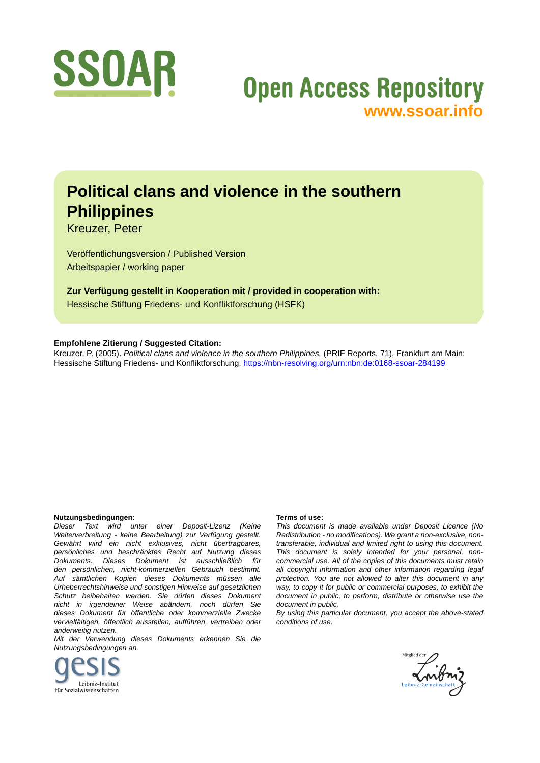

# **Open Access Repository [www.ssoar.info](http://www.ssoar.info)**

# **Political clans and violence in the southern Philippines**

Kreuzer, Peter

Veröffentlichungsversion / Published Version Arbeitspapier / working paper

**Zur Verfügung gestellt in Kooperation mit / provided in cooperation with:** Hessische Stiftung Friedens- und Konfliktforschung (HSFK)

#### **Empfohlene Zitierung / Suggested Citation:**

Kreuzer, P. (2005). *Political clans and violence in the southern Philippines.* (PRIF Reports, 71). Frankfurt am Main: Hessische Stiftung Friedens- und Konfliktforschung.<https://nbn-resolving.org/urn:nbn:de:0168-ssoar-284199>

#### **Nutzungsbedingungen:**

*Dieser Text wird unter einer Deposit-Lizenz (Keine Weiterverbreitung - keine Bearbeitung) zur Verfügung gestellt. Gewährt wird ein nicht exklusives, nicht übertragbares, persönliches und beschränktes Recht auf Nutzung dieses Dokuments. Dieses Dokument ist ausschließlich für den persönlichen, nicht-kommerziellen Gebrauch bestimmt. Auf sämtlichen Kopien dieses Dokuments müssen alle Urheberrechtshinweise und sonstigen Hinweise auf gesetzlichen Schutz beibehalten werden. Sie dürfen dieses Dokument nicht in irgendeiner Weise abändern, noch dürfen Sie dieses Dokument für öffentliche oder kommerzielle Zwecke vervielfältigen, öffentlich ausstellen, aufführen, vertreiben oder anderweitig nutzen.*

*Mit der Verwendung dieses Dokuments erkennen Sie die Nutzungsbedingungen an.*



#### **Terms of use:**

*This document is made available under Deposit Licence (No Redistribution - no modifications). We grant a non-exclusive, nontransferable, individual and limited right to using this document. This document is solely intended for your personal, noncommercial use. All of the copies of this documents must retain all copyright information and other information regarding legal protection. You are not allowed to alter this document in any way, to copy it for public or commercial purposes, to exhibit the document in public, to perform, distribute or otherwise use the document in public.*

*By using this particular document, you accept the above-stated conditions of use.*

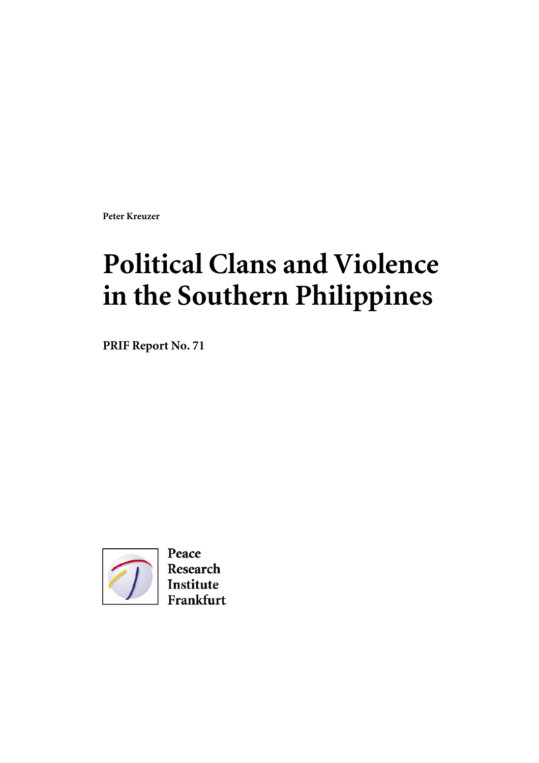**Peter Kreuzer** 

# **Political Clans and Violence in the Southern Philippines**

**PRIF Report No. 71** 



Peace Research Institute Frankfurt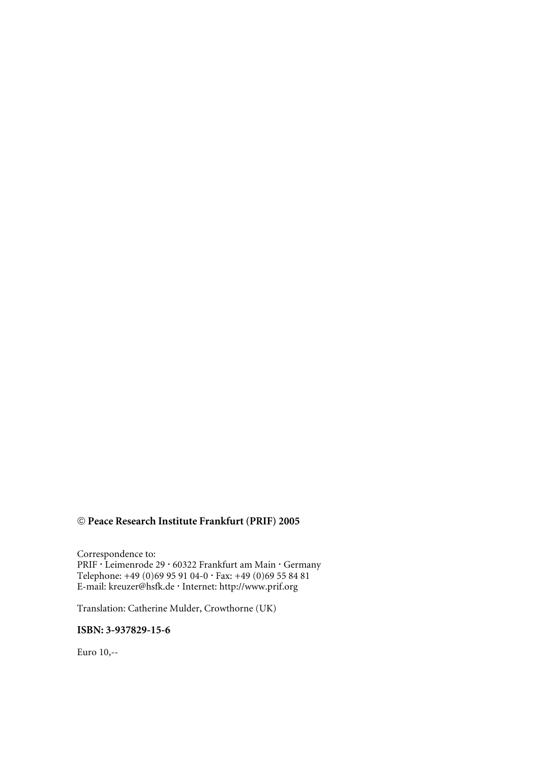# **Peace Research Institute Frankfurt (PRIF) 2005**

Correspondence to: PRIF · Leimenrode 29 · 60322 Frankfurt am Main · Germany Telephone: +49 (0)69 95 91 04-0 · Fax: +49 (0)69 55 84 81 E-mail: kreuzer@hsfk.de · Internet: http://www.prif.org

Translation: Catherine Mulder, Crowthorne (UK)

## **ISBN: 3-937829-15-6**

Euro 10,--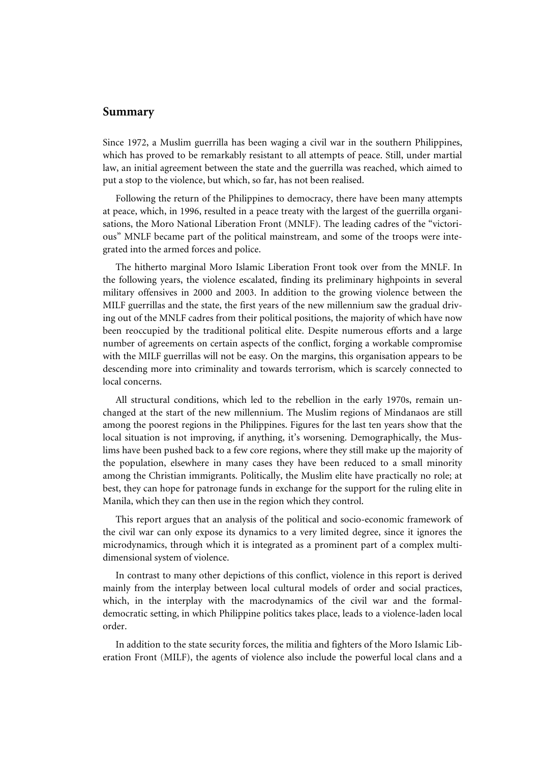#### **Summary**

Since 1972, a Muslim guerrilla has been waging a civil war in the southern Philippines, which has proved to be remarkably resistant to all attempts of peace. Still, under martial law, an initial agreement between the state and the guerrilla was reached, which aimed to put a stop to the violence, but which, so far, has not been realised.

Following the return of the Philippines to democracy, there have been many attempts at peace, which, in 1996, resulted in a peace treaty with the largest of the guerrilla organisations, the Moro National Liberation Front (MNLF). The leading cadres of the "victorious" MNLF became part of the political mainstream, and some of the troops were integrated into the armed forces and police.

The hitherto marginal Moro Islamic Liberation Front took over from the MNLF. In the following years, the violence escalated, finding its preliminary highpoints in several military offensives in 2000 and 2003. In addition to the growing violence between the MILF guerrillas and the state, the first years of the new millennium saw the gradual driving out of the MNLF cadres from their political positions, the majority of which have now been reoccupied by the traditional political elite. Despite numerous efforts and a large number of agreements on certain aspects of the conflict, forging a workable compromise with the MILF guerrillas will not be easy. On the margins, this organisation appears to be descending more into criminality and towards terrorism, which is scarcely connected to local concerns.

All structural conditions, which led to the rebellion in the early 1970s, remain unchanged at the start of the new millennium. The Muslim regions of Mindanaos are still among the poorest regions in the Philippines. Figures for the last ten years show that the local situation is not improving, if anything, it's worsening. Demographically, the Muslims have been pushed back to a few core regions, where they still make up the majority of the population, elsewhere in many cases they have been reduced to a small minority among the Christian immigrants. Politically, the Muslim elite have practically no role; at best, they can hope for patronage funds in exchange for the support for the ruling elite in Manila, which they can then use in the region which they control.

This report argues that an analysis of the political and socio-economic framework of the civil war can only expose its dynamics to a very limited degree, since it ignores the microdynamics, through which it is integrated as a prominent part of a complex multidimensional system of violence.

In contrast to many other depictions of this conflict, violence in this report is derived mainly from the interplay between local cultural models of order and social practices, which, in the interplay with the macrodynamics of the civil war and the formaldemocratic setting, in which Philippine politics takes place, leads to a violence-laden local order.

In addition to the state security forces, the militia and fighters of the Moro Islamic Liberation Front (MILF), the agents of violence also include the powerful local clans and a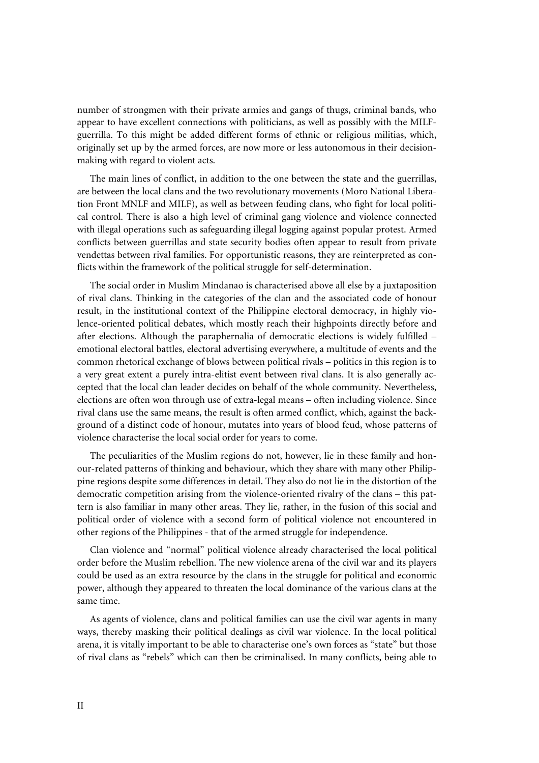number of strongmen with their private armies and gangs of thugs, criminal bands, who appear to have excellent connections with politicians, as well as possibly with the MILFguerrilla. To this might be added different forms of ethnic or religious militias, which, originally set up by the armed forces, are now more or less autonomous in their decisionmaking with regard to violent acts.

The main lines of conflict, in addition to the one between the state and the guerrillas, are between the local clans and the two revolutionary movements (Moro National Liberation Front MNLF and MILF), as well as between feuding clans, who fight for local political control. There is also a high level of criminal gang violence and violence connected with illegal operations such as safeguarding illegal logging against popular protest. Armed conflicts between guerrillas and state security bodies often appear to result from private vendettas between rival families. For opportunistic reasons, they are reinterpreted as conflicts within the framework of the political struggle for self-determination.

The social order in Muslim Mindanao is characterised above all else by a juxtaposition of rival clans. Thinking in the categories of the clan and the associated code of honour result, in the institutional context of the Philippine electoral democracy, in highly violence-oriented political debates, which mostly reach their highpoints directly before and after elections. Although the paraphernalia of democratic elections is widely fulfilled – emotional electoral battles, electoral advertising everywhere, a multitude of events and the common rhetorical exchange of blows between political rivals – politics in this region is to a very great extent a purely intra-elitist event between rival clans. It is also generally accepted that the local clan leader decides on behalf of the whole community. Nevertheless, elections are often won through use of extra-legal means – often including violence. Since rival clans use the same means, the result is often armed conflict, which, against the background of a distinct code of honour, mutates into years of blood feud, whose patterns of violence characterise the local social order for years to come.

The peculiarities of the Muslim regions do not, however, lie in these family and honour-related patterns of thinking and behaviour, which they share with many other Philippine regions despite some differences in detail. They also do not lie in the distortion of the democratic competition arising from the violence-oriented rivalry of the clans – this pattern is also familiar in many other areas. They lie, rather, in the fusion of this social and political order of violence with a second form of political violence not encountered in other regions of the Philippines - that of the armed struggle for independence.

Clan violence and "normal" political violence already characterised the local political order before the Muslim rebellion. The new violence arena of the civil war and its players could be used as an extra resource by the clans in the struggle for political and economic power, although they appeared to threaten the local dominance of the various clans at the same time.

As agents of violence, clans and political families can use the civil war agents in many ways, thereby masking their political dealings as civil war violence. In the local political arena, it is vitally important to be able to characterise one's own forces as "state" but those of rival clans as "rebels" which can then be criminalised. In many conflicts, being able to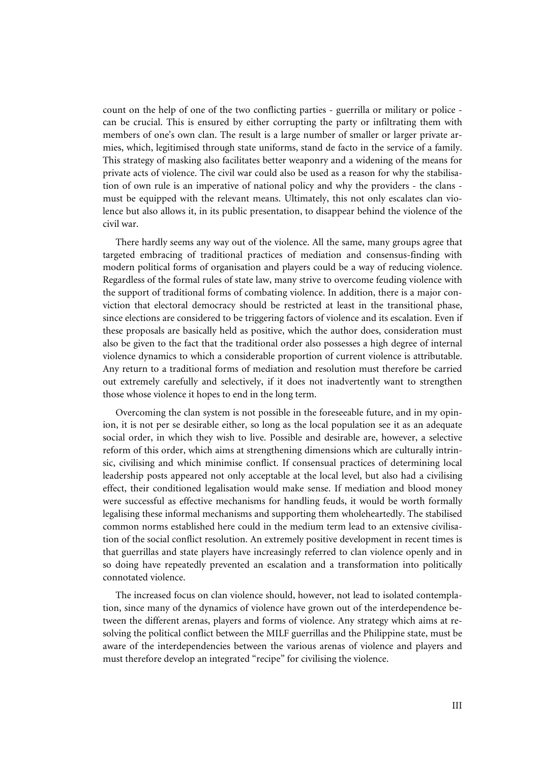count on the help of one of the two conflicting parties - guerrilla or military or police can be crucial. This is ensured by either corrupting the party or infiltrating them with members of one's own clan. The result is a large number of smaller or larger private armies, which, legitimised through state uniforms, stand de facto in the service of a family. This strategy of masking also facilitates better weaponry and a widening of the means for private acts of violence. The civil war could also be used as a reason for why the stabilisation of own rule is an imperative of national policy and why the providers - the clans must be equipped with the relevant means. Ultimately, this not only escalates clan violence but also allows it, in its public presentation, to disappear behind the violence of the civil war.

There hardly seems any way out of the violence. All the same, many groups agree that targeted embracing of traditional practices of mediation and consensus-finding with modern political forms of organisation and players could be a way of reducing violence. Regardless of the formal rules of state law, many strive to overcome feuding violence with the support of traditional forms of combating violence. In addition, there is a major conviction that electoral democracy should be restricted at least in the transitional phase, since elections are considered to be triggering factors of violence and its escalation. Even if these proposals are basically held as positive, which the author does, consideration must also be given to the fact that the traditional order also possesses a high degree of internal violence dynamics to which a considerable proportion of current violence is attributable. Any return to a traditional forms of mediation and resolution must therefore be carried out extremely carefully and selectively, if it does not inadvertently want to strengthen those whose violence it hopes to end in the long term.

Overcoming the clan system is not possible in the foreseeable future, and in my opinion, it is not per se desirable either, so long as the local population see it as an adequate social order, in which they wish to live. Possible and desirable are, however, a selective reform of this order, which aims at strengthening dimensions which are culturally intrinsic, civilising and which minimise conflict. If consensual practices of determining local leadership posts appeared not only acceptable at the local level, but also had a civilising effect, their conditioned legalisation would make sense. If mediation and blood money were successful as effective mechanisms for handling feuds, it would be worth formally legalising these informal mechanisms and supporting them wholeheartedly. The stabilised common norms established here could in the medium term lead to an extensive civilisation of the social conflict resolution. An extremely positive development in recent times is that guerrillas and state players have increasingly referred to clan violence openly and in so doing have repeatedly prevented an escalation and a transformation into politically connotated violence.

The increased focus on clan violence should, however, not lead to isolated contemplation, since many of the dynamics of violence have grown out of the interdependence between the different arenas, players and forms of violence. Any strategy which aims at resolving the political conflict between the MILF guerrillas and the Philippine state, must be aware of the interdependencies between the various arenas of violence and players and must therefore develop an integrated "recipe" for civilising the violence.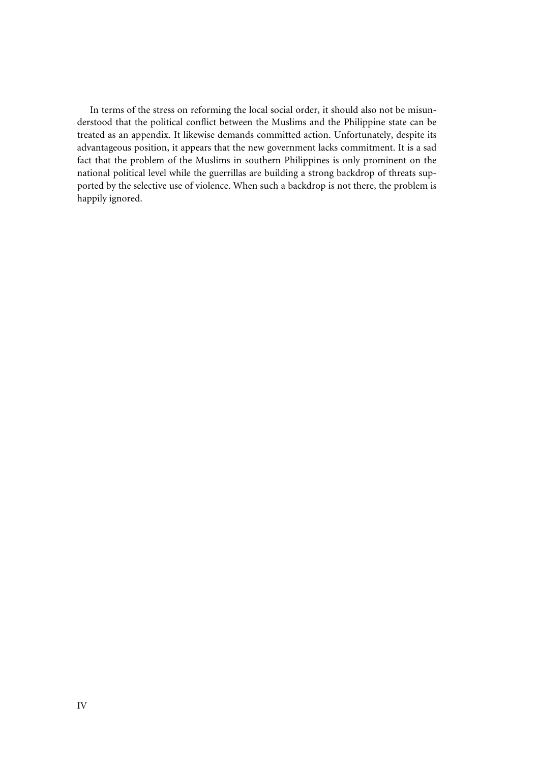In terms of the stress on reforming the local social order, it should also not be misunderstood that the political conflict between the Muslims and the Philippine state can be treated as an appendix. It likewise demands committed action. Unfortunately, despite its advantageous position, it appears that the new government lacks commitment. It is a sad fact that the problem of the Muslims in southern Philippines is only prominent on the national political level while the guerrillas are building a strong backdrop of threats supported by the selective use of violence. When such a backdrop is not there, the problem is happily ignored.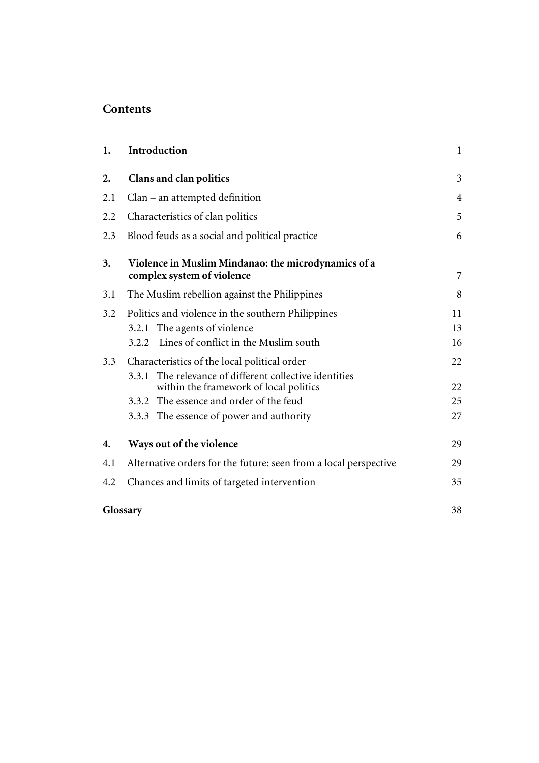# **Contents**

| 1.       | Introduction                                                                                     | $\mathbf{1}$ |
|----------|--------------------------------------------------------------------------------------------------|--------------|
| 2.       | Clans and clan politics                                                                          | 3            |
| 2.1      | $Clan - an$ attempted definition                                                                 | 4            |
| 2.2      | Characteristics of clan politics                                                                 | 5            |
| 2.3      | Blood feuds as a social and political practice                                                   | 6            |
| 3.       | Violence in Muslim Mindanao: the microdynamics of a<br>complex system of violence                | 7            |
| 3.1      | The Muslim rebellion against the Philippines                                                     | 8            |
| 3.2      | Politics and violence in the southern Philippines                                                | 11           |
|          | 3.2.1 The agents of violence                                                                     | 13           |
|          | Lines of conflict in the Muslim south<br>3.2.2                                                   | 16           |
| 3.3      | Characteristics of the local political order                                                     | 22           |
|          | 3.3.1 The relevance of different collective identities<br>within the framework of local politics | 22           |
|          | 3.3.2 The essence and order of the feud                                                          | 25           |
|          | 3.3.3 The essence of power and authority                                                         | 27           |
| 4.       | Ways out of the violence                                                                         | 29           |
| 4.1      | Alternative orders for the future: seen from a local perspective                                 | 29           |
| 4.2      | Chances and limits of targeted intervention                                                      | 35           |
| Glossary |                                                                                                  | 38           |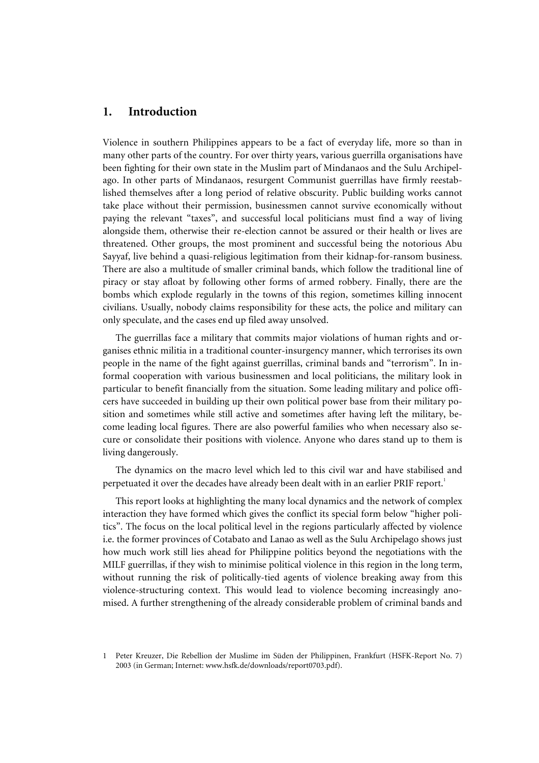## **1. Introduction**

Violence in southern Philippines appears to be a fact of everyday life, more so than in many other parts of the country. For over thirty years, various guerrilla organisations have been fighting for their own state in the Muslim part of Mindanaos and the Sulu Archipelago. In other parts of Mindanaos, resurgent Communist guerrillas have firmly reestablished themselves after a long period of relative obscurity. Public building works cannot take place without their permission, businessmen cannot survive economically without paying the relevant "taxes", and successful local politicians must find a way of living alongside them, otherwise their re-election cannot be assured or their health or lives are threatened. Other groups, the most prominent and successful being the notorious Abu Sayyaf, live behind a quasi-religious legitimation from their kidnap-for-ransom business. There are also a multitude of smaller criminal bands, which follow the traditional line of piracy or stay afloat by following other forms of armed robbery. Finally, there are the bombs which explode regularly in the towns of this region, sometimes killing innocent civilians. Usually, nobody claims responsibility for these acts, the police and military can only speculate, and the cases end up filed away unsolved.

The guerrillas face a military that commits major violations of human rights and organises ethnic militia in a traditional counter-insurgency manner, which terrorises its own people in the name of the fight against guerrillas, criminal bands and "terrorism". In informal cooperation with various businessmen and local politicians, the military look in particular to benefit financially from the situation. Some leading military and police officers have succeeded in building up their own political power base from their military position and sometimes while still active and sometimes after having left the military, become leading local figures. There are also powerful families who when necessary also secure or consolidate their positions with violence. Anyone who dares stand up to them is living dangerously.

The dynamics on the macro level which led to this civil war and have stabilised and perpetuated it over the decades have already been dealt with in an earlier PRIF report.<sup>1</sup>

This report looks at highlighting the many local dynamics and the network of complex interaction they have formed which gives the conflict its special form below "higher politics". The focus on the local political level in the regions particularly affected by violence i.e. the former provinces of Cotabato and Lanao as well as the Sulu Archipelago shows just how much work still lies ahead for Philippine politics beyond the negotiations with the MILF guerrillas, if they wish to minimise political violence in this region in the long term, without running the risk of politically-tied agents of violence breaking away from this violence-structuring context. This would lead to violence becoming increasingly anomised. A further strengthening of the already considerable problem of criminal bands and

<sup>1</sup> Peter Kreuzer, Die Rebellion der Muslime im Süden der Philippinen, Frankfurt (HSFK-Report No. 7) 2003 (in German; Internet: www.hsfk.de/downloads/report0703.pdf).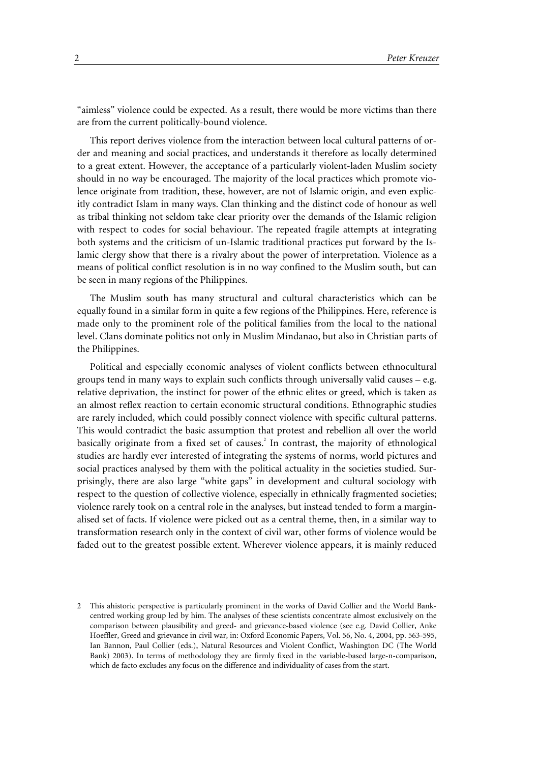"aimless" violence could be expected. As a result, there would be more victims than there are from the current politically-bound violence.

This report derives violence from the interaction between local cultural patterns of order and meaning and social practices, and understands it therefore as locally determined to a great extent. However, the acceptance of a particularly violent-laden Muslim society should in no way be encouraged. The majority of the local practices which promote violence originate from tradition, these, however, are not of Islamic origin, and even explicitly contradict Islam in many ways. Clan thinking and the distinct code of honour as well as tribal thinking not seldom take clear priority over the demands of the Islamic religion with respect to codes for social behaviour. The repeated fragile attempts at integrating both systems and the criticism of un-Islamic traditional practices put forward by the Islamic clergy show that there is a rivalry about the power of interpretation. Violence as a means of political conflict resolution is in no way confined to the Muslim south, but can be seen in many regions of the Philippines.

The Muslim south has many structural and cultural characteristics which can be equally found in a similar form in quite a few regions of the Philippines. Here, reference is made only to the prominent role of the political families from the local to the national level. Clans dominate politics not only in Muslim Mindanao, but also in Christian parts of the Philippines.

Political and especially economic analyses of violent conflicts between ethnocultural groups tend in many ways to explain such conflicts through universally valid causes – e.g. relative deprivation, the instinct for power of the ethnic elites or greed, which is taken as an almost reflex reaction to certain economic structural conditions. Ethnographic studies are rarely included, which could possibly connect violence with specific cultural patterns. This would contradict the basic assumption that protest and rebellion all over the world basically originate from a fixed set of causes.<sup>2</sup> In contrast, the majority of ethnological studies are hardly ever interested of integrating the systems of norms, world pictures and social practices analysed by them with the political actuality in the societies studied. Surprisingly, there are also large "white gaps" in development and cultural sociology with respect to the question of collective violence, especially in ethnically fragmented societies; violence rarely took on a central role in the analyses, but instead tended to form a marginalised set of facts. If violence were picked out as a central theme, then, in a similar way to transformation research only in the context of civil war, other forms of violence would be faded out to the greatest possible extent. Wherever violence appears, it is mainly reduced

<sup>2</sup> This ahistoric perspective is particularly prominent in the works of David Collier and the World Bankcentred working group led by him. The analyses of these scientists concentrate almost exclusively on the comparison between plausibility and greed- and grievance-based violence (see e.g. David Collier, Anke Hoeffler, Greed and grievance in civil war, in: Oxford Economic Papers, Vol. 56, No. 4, 2004, pp. 563-595, Ian Bannon, Paul Collier (eds.), Natural Resources and Violent Conflict, Washington DC (The World Bank) 2003). In terms of methodology they are firmly fixed in the variable-based large-n-comparison, which de facto excludes any focus on the difference and individuality of cases from the start.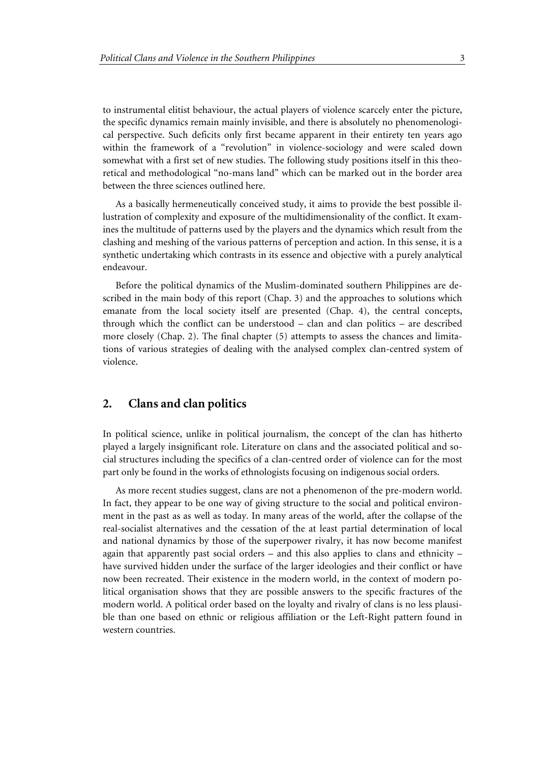to instrumental elitist behaviour, the actual players of violence scarcely enter the picture, the specific dynamics remain mainly invisible, and there is absolutely no phenomenological perspective. Such deficits only first became apparent in their entirety ten years ago within the framework of a "revolution" in violence-sociology and were scaled down somewhat with a first set of new studies. The following study positions itself in this theoretical and methodological "no-mans land" which can be marked out in the border area between the three sciences outlined here.

As a basically hermeneutically conceived study, it aims to provide the best possible illustration of complexity and exposure of the multidimensionality of the conflict. It examines the multitude of patterns used by the players and the dynamics which result from the clashing and meshing of the various patterns of perception and action. In this sense, it is a synthetic undertaking which contrasts in its essence and objective with a purely analytical endeavour.

Before the political dynamics of the Muslim-dominated southern Philippines are described in the main body of this report (Chap. 3) and the approaches to solutions which emanate from the local society itself are presented (Chap. 4), the central concepts, through which the conflict can be understood – clan and clan politics – are described more closely (Chap. 2). The final chapter (5) attempts to assess the chances and limitations of various strategies of dealing with the analysed complex clan-centred system of violence.

## **2. Clans and clan politics**

In political science, unlike in political journalism, the concept of the clan has hitherto played a largely insignificant role. Literature on clans and the associated political and social structures including the specifics of a clan-centred order of violence can for the most part only be found in the works of ethnologists focusing on indigenous social orders.

As more recent studies suggest, clans are not a phenomenon of the pre-modern world. In fact, they appear to be one way of giving structure to the social and political environment in the past as as well as today. In many areas of the world, after the collapse of the real-socialist alternatives and the cessation of the at least partial determination of local and national dynamics by those of the superpower rivalry, it has now become manifest again that apparently past social orders – and this also applies to clans and ethnicity – have survived hidden under the surface of the larger ideologies and their conflict or have now been recreated. Their existence in the modern world, in the context of modern political organisation shows that they are possible answers to the specific fractures of the modern world. A political order based on the loyalty and rivalry of clans is no less plausible than one based on ethnic or religious affiliation or the Left-Right pattern found in western countries.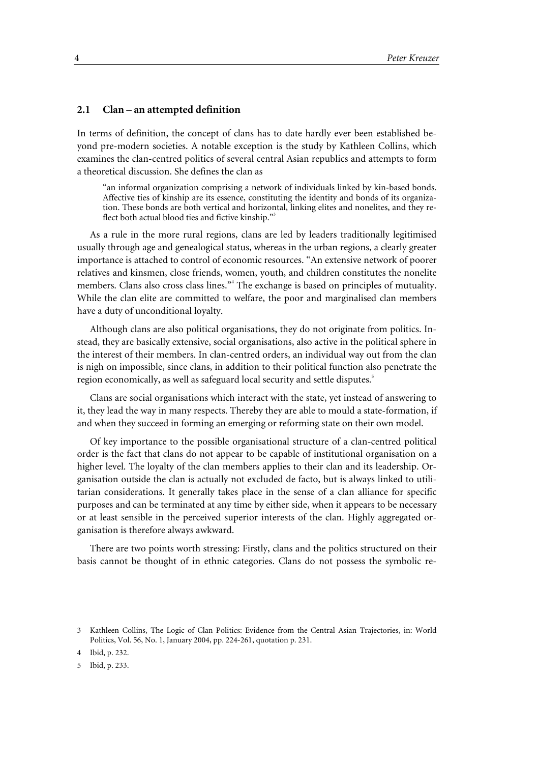#### **2.1 Clan – an attempted definition**

In terms of definition, the concept of clans has to date hardly ever been established beyond pre-modern societies. A notable exception is the study by Kathleen Collins, which examines the clan-centred politics of several central Asian republics and attempts to form a theoretical discussion. She defines the clan as

"an informal organization comprising a network of individuals linked by kin-based bonds. Affective ties of kinship are its essence, constituting the identity and bonds of its organization. These bonds are both vertical and horizontal, linking elites and nonelites, and they reflect both actual blood ties and fictive kinship."<sup>3</sup>

As a rule in the more rural regions, clans are led by leaders traditionally legitimised usually through age and genealogical status, whereas in the urban regions, a clearly greater importance is attached to control of economic resources. "An extensive network of poorer relatives and kinsmen, close friends, women, youth, and children constitutes the nonelite members. Clans also cross class lines."<sup>4</sup> The exchange is based on principles of mutuality. While the clan elite are committed to welfare, the poor and marginalised clan members have a duty of unconditional loyalty.

Although clans are also political organisations, they do not originate from politics. Instead, they are basically extensive, social organisations, also active in the political sphere in the interest of their members. In clan-centred orders, an individual way out from the clan is nigh on impossible, since clans, in addition to their political function also penetrate the region economically, as well as safeguard local security and settle disputes.<sup>5</sup>

Clans are social organisations which interact with the state, yet instead of answering to it, they lead the way in many respects. Thereby they are able to mould a state-formation, if and when they succeed in forming an emerging or reforming state on their own model.

Of key importance to the possible organisational structure of a clan-centred political order is the fact that clans do not appear to be capable of institutional organisation on a higher level. The loyalty of the clan members applies to their clan and its leadership. Organisation outside the clan is actually not excluded de facto, but is always linked to utilitarian considerations. It generally takes place in the sense of a clan alliance for specific purposes and can be terminated at any time by either side, when it appears to be necessary or at least sensible in the perceived superior interests of the clan. Highly aggregated organisation is therefore always awkward.

There are two points worth stressing: Firstly, clans and the politics structured on their basis cannot be thought of in ethnic categories. Clans do not possess the symbolic re-

<sup>3</sup> Kathleen Collins, The Logic of Clan Politics: Evidence from the Central Asian Trajectories, in: World Politics, Vol. 56, No. 1, January 2004, pp. 224-261, quotation p. 231.

<sup>4</sup> Ibid, p. 232.

<sup>5</sup> Ibid, p. 233.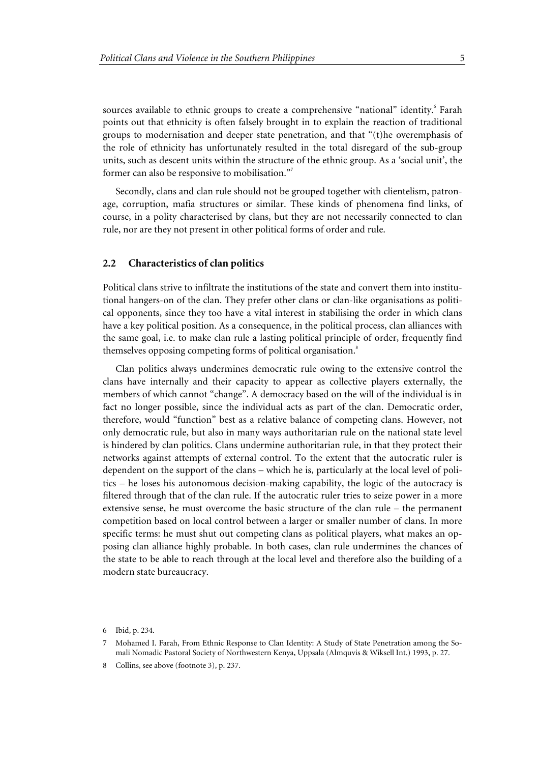sources available to ethnic groups to create a comprehensive "national" identity.<sup>6</sup> Farah points out that ethnicity is often falsely brought in to explain the reaction of traditional groups to modernisation and deeper state penetration, and that "(t)he overemphasis of the role of ethnicity has unfortunately resulted in the total disregard of the sub-group units, such as descent units within the structure of the ethnic group. As a 'social unit', the former can also be responsive to mobilisation."<sup>7</sup>

Secondly, clans and clan rule should not be grouped together with clientelism, patronage, corruption, mafia structures or similar. These kinds of phenomena find links, of course, in a polity characterised by clans, but they are not necessarily connected to clan rule, nor are they not present in other political forms of order and rule.

#### **2.2 Characteristics of clan politics**

Political clans strive to infiltrate the institutions of the state and convert them into institutional hangers-on of the clan. They prefer other clans or clan-like organisations as political opponents, since they too have a vital interest in stabilising the order in which clans have a key political position. As a consequence, in the political process, clan alliances with the same goal, i.e. to make clan rule a lasting political principle of order, frequently find themselves opposing competing forms of political organisation.<sup>8</sup>

Clan politics always undermines democratic rule owing to the extensive control the clans have internally and their capacity to appear as collective players externally, the members of which cannot "change". A democracy based on the will of the individual is in fact no longer possible, since the individual acts as part of the clan. Democratic order, therefore, would "function" best as a relative balance of competing clans. However, not only democratic rule, but also in many ways authoritarian rule on the national state level is hindered by clan politics. Clans undermine authoritarian rule, in that they protect their networks against attempts of external control. To the extent that the autocratic ruler is dependent on the support of the clans – which he is, particularly at the local level of politics – he loses his autonomous decision-making capability, the logic of the autocracy is filtered through that of the clan rule. If the autocratic ruler tries to seize power in a more extensive sense, he must overcome the basic structure of the clan rule – the permanent competition based on local control between a larger or smaller number of clans. In more specific terms: he must shut out competing clans as political players, what makes an opposing clan alliance highly probable. In both cases, clan rule undermines the chances of the state to be able to reach through at the local level and therefore also the building of a modern state bureaucracy.

<sup>6</sup> Ibid, p. 234.

<sup>7</sup> Mohamed I. Farah, From Ethnic Response to Clan Identity: A Study of State Penetration among the Somali Nomadic Pastoral Society of Northwestern Kenya, Uppsala (Almquvis & Wiksell Int.) 1993, p. 27.

<sup>8</sup> Collins, see above (footnote 3), p. 237.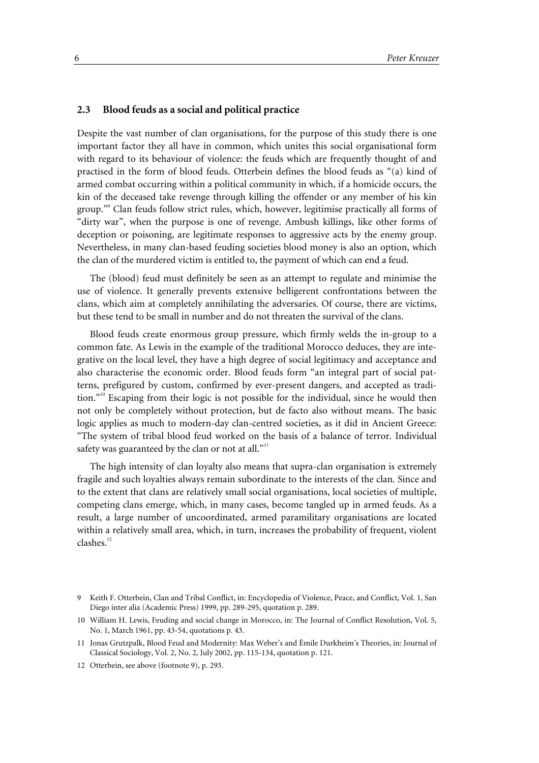#### **2.3 Blood feuds as a social and political practice**

Despite the vast number of clan organisations, for the purpose of this study there is one important factor they all have in common, which unites this social organisational form with regard to its behaviour of violence: the feuds which are frequently thought of and practised in the form of blood feuds. Otterbein defines the blood feuds as "(a) kind of armed combat occurring within a political community in which, if a homicide occurs, the kin of the deceased take revenge through killing the offender or any member of his kin group."<sup>9</sup> Clan feuds follow strict rules, which, however, legitimise practically all forms of "dirty war", when the purpose is one of revenge. Ambush killings, like other forms of deception or poisoning, are legitimate responses to aggressive acts by the enemy group. Nevertheless, in many clan-based feuding societies blood money is also an option, which the clan of the murdered victim is entitled to, the payment of which can end a feud.

The (blood) feud must definitely be seen as an attempt to regulate and minimise the use of violence. It generally prevents extensive belligerent confrontations between the clans, which aim at completely annihilating the adversaries. Of course, there are victims, but these tend to be small in number and do not threaten the survival of the clans.

Blood feuds create enormous group pressure, which firmly welds the in-group to a common fate. As Lewis in the example of the traditional Morocco deduces, they are integrative on the local level, they have a high degree of social legitimacy and acceptance and also characterise the economic order. Blood feuds form "an integral part of social patterns, prefigured by custom, confirmed by ever-present dangers, and accepted as tradition."10 Escaping from their logic is not possible for the individual, since he would then not only be completely without protection, but de facto also without means. The basic logic applies as much to modern-day clan-centred societies, as it did in Ancient Greece: "The system of tribal blood feud worked on the basis of a balance of terror. Individual safety was guaranteed by the clan or not at all."<sup>11</sup>

The high intensity of clan loyalty also means that supra-clan organisation is extremely fragile and such loyalties always remain subordinate to the interests of the clan. Since and to the extent that clans are relatively small social organisations, local societies of multiple, competing clans emerge, which, in many cases, become tangled up in armed feuds. As a result, a large number of uncoordinated, armed paramilitary organisations are located within a relatively small area, which, in turn, increases the probability of frequent, violent  $clashed^{12}$ 

<sup>9</sup> Keith F. Otterbein, Clan and Tribal Conflict, in: Encyclopedia of Violence, Peace, and Conflict, Vol. 1, San Diego inter alia (Academic Press) 1999, pp. 289-295, quotation p. 289.

<sup>10</sup> William H. Lewis, Feuding and social change in Morocco, in: The Journal of Conflict Resolution, Vol. 5, No. 1, March 1961, pp. 43-54, quotations p. 43.

<sup>11</sup> Jonas Grutzpalk, Blood Feud and Modernity: Max Weber's and Émile Durkheim's Theories, in: Journal of Classical Sociology, Vol. 2, No. 2, July 2002, pp. 115-134, quotation p. 121.

<sup>12</sup> Otterbein, see above (footnote 9), p. 293.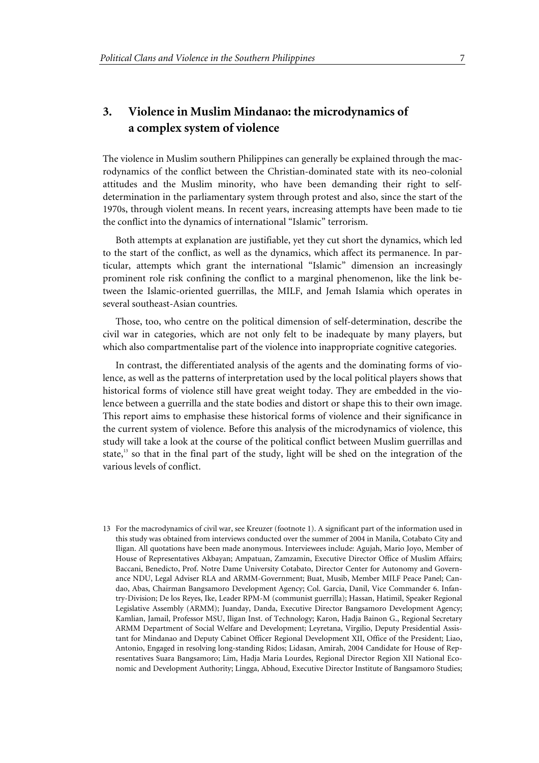# **3. Violence in Muslim Mindanao: the microdynamics of a complex system of violence**

The violence in Muslim southern Philippines can generally be explained through the macrodynamics of the conflict between the Christian-dominated state with its neo-colonial attitudes and the Muslim minority, who have been demanding their right to selfdetermination in the parliamentary system through protest and also, since the start of the 1970s, through violent means. In recent years, increasing attempts have been made to tie the conflict into the dynamics of international "Islamic" terrorism.

Both attempts at explanation are justifiable, yet they cut short the dynamics, which led to the start of the conflict, as well as the dynamics, which affect its permanence. In particular, attempts which grant the international "Islamic" dimension an increasingly prominent role risk confining the conflict to a marginal phenomenon, like the link between the Islamic-oriented guerrillas, the MILF, and Jemah Islamia which operates in several southeast-Asian countries.

Those, too, who centre on the political dimension of self-determination, describe the civil war in categories, which are not only felt to be inadequate by many players, but which also compartmentalise part of the violence into inappropriate cognitive categories.

In contrast, the differentiated analysis of the agents and the dominating forms of violence, as well as the patterns of interpretation used by the local political players shows that historical forms of violence still have great weight today. They are embedded in the violence between a guerrilla and the state bodies and distort or shape this to their own image. This report aims to emphasise these historical forms of violence and their significance in the current system of violence. Before this analysis of the microdynamics of violence, this study will take a look at the course of the political conflict between Muslim guerrillas and state, $13$  so that in the final part of the study, light will be shed on the integration of the various levels of conflict.

13 For the macrodynamics of civil war, see Kreuzer (footnote 1). A significant part of the information used in this study was obtained from interviews conducted over the summer of 2004 in Manila, Cotabato City and Iligan. All quotations have been made anonymous. Interviewees include: Agujah, Mario Joyo, Member of House of Representatives Akbayan; Ampatuan, Zamzamin, Executive Director Office of Muslim Affairs; Baccani, Benedicto, Prof. Notre Dame University Cotabato, Director Center for Autonomy and Governance NDU, Legal Adviser RLA and ARMM-Government; Buat, Musib, Member MILF Peace Panel; Candao, Abas, Chairman Bangsamoro Development Agency; Col. Garcia, Danil, Vice Commander 6. Infantry-Division; De los Reyes, Ike, Leader RPM-M (communist guerrilla); Hassan, Hatimil, Speaker Regional Legislative Assembly (ARMM); Juanday, Danda, Executive Director Bangsamoro Development Agency; Kamlian, Jamail, Professor MSU, Iligan Inst. of Technology; Karon, Hadja Bainon G., Regional Secretary ARMM Department of Social Welfare and Development; Leyretana, Virgilio, Deputy Presidential Assistant for Mindanao and Deputy Cabinet Officer Regional Development XII, Office of the President; Liao, Antonio, Engaged in resolving long-standing Ridos; Lidasan, Amirah, 2004 Candidate for House of Representatives Suara Bangsamoro; Lim, Hadja Maria Lourdes, Regional Director Region XII National Economic and Development Authority; Lingga, Abhoud, Executive Director Institute of Bangsamoro Studies;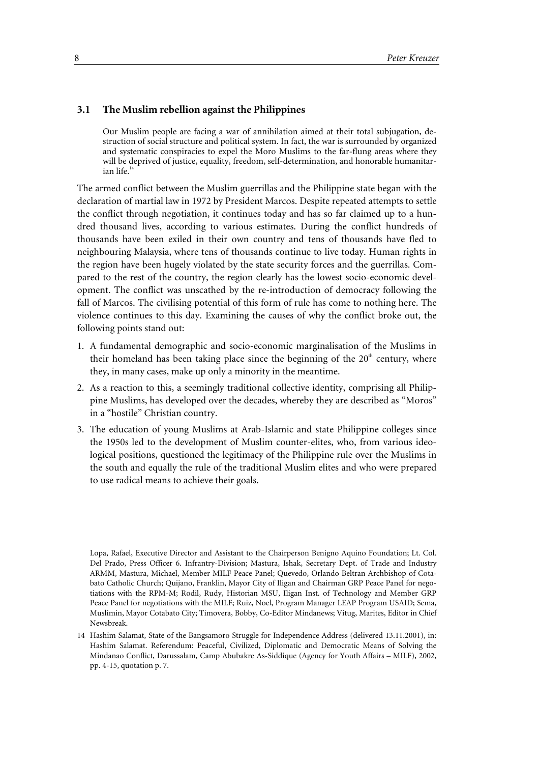#### **3.1 The Muslim rebellion against the Philippines**

Our Muslim people are facing a war of annihilation aimed at their total subjugation, destruction of social structure and political system. In fact, the war is surrounded by organized and systematic conspiracies to expel the Moro Muslims to the far-flung areas where they will be deprived of justice, equality, freedom, self-determination, and honorable humanitarian life. $1$ 

The armed conflict between the Muslim guerrillas and the Philippine state began with the declaration of martial law in 1972 by President Marcos. Despite repeated attempts to settle the conflict through negotiation, it continues today and has so far claimed up to a hundred thousand lives, according to various estimates. During the conflict hundreds of thousands have been exiled in their own country and tens of thousands have fled to neighbouring Malaysia, where tens of thousands continue to live today. Human rights in the region have been hugely violated by the state security forces and the guerrillas. Compared to the rest of the country, the region clearly has the lowest socio-economic development. The conflict was unscathed by the re-introduction of democracy following the fall of Marcos. The civilising potential of this form of rule has come to nothing here. The violence continues to this day. Examining the causes of why the conflict broke out, the following points stand out:

- 1. A fundamental demographic and socio-economic marginalisation of the Muslims in their homeland has been taking place since the beginning of the  $20<sup>th</sup>$  century, where they, in many cases, make up only a minority in the meantime.
- 2. As a reaction to this, a seemingly traditional collective identity, comprising all Philippine Muslims, has developed over the decades, whereby they are described as "Moros" in a "hostile" Christian country.
- 3. The education of young Muslims at Arab-Islamic and state Philippine colleges since the 1950s led to the development of Muslim counter-elites, who, from various ideological positions, questioned the legitimacy of the Philippine rule over the Muslims in the south and equally the rule of the traditional Muslim elites and who were prepared to use radical means to achieve their goals.

Lopa, Rafael, Executive Director and Assistant to the Chairperson Benigno Aquino Foundation; Lt. Col. Del Prado, Press Officer 6. Infrantry-Division; Mastura, Ishak, Secretary Dept. of Trade and Industry ARMM, Mastura, Michael, Member MILF Peace Panel; Quevedo, Orlando Beltran Archbishop of Cotabato Catholic Church; Quijano, Franklin, Mayor City of Iligan and Chairman GRP Peace Panel for negotiations with the RPM-M; Rodil, Rudy, Historian MSU, Iligan Inst. of Technology and Member GRP Peace Panel for negotiations with the MILF; Ruiz, Noel, Program Manager LEAP Program USAID; Sema, Muslimin, Mayor Cotabato City; Timovera, Bobby, Co-Editor Mindanews; Vitug, Marites, Editor in Chief Newsbreak.

<sup>14</sup> Hashim Salamat, State of the Bangsamoro Struggle for Independence Address (delivered 13.11.2001), in: Hashim Salamat. Referendum: Peaceful, Civilized, Diplomatic and Democratic Means of Solving the Mindanao Conflict, Darussalam, Camp Abubakre As-Siddique (Agency for Youth Affairs – MILF), 2002, pp. 4-15, quotation p. 7.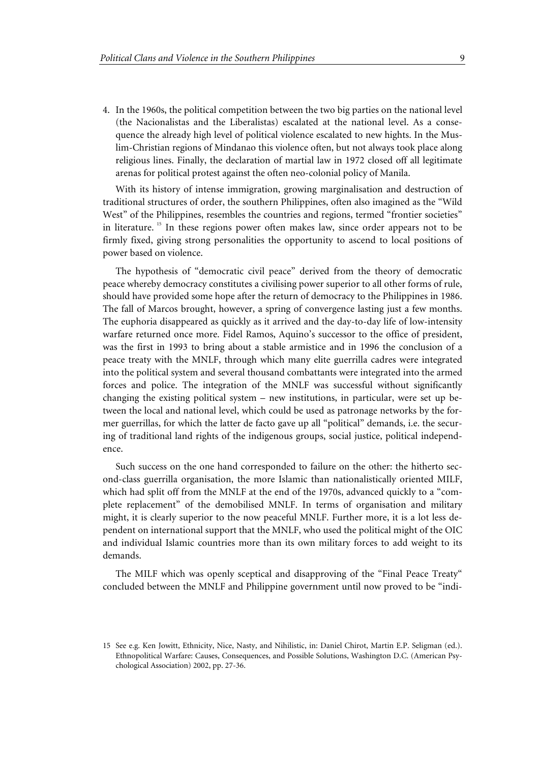4. In the 1960s, the political competition between the two big parties on the national level (the Nacionalistas and the Liberalistas) escalated at the national level. As a consequence the already high level of political violence escalated to new hights. In the Muslim-Christian regions of Mindanao this violence often, but not always took place along religious lines. Finally, the declaration of martial law in 1972 closed off all legitimate arenas for political protest against the often neo-colonial policy of Manila.

With its history of intense immigration, growing marginalisation and destruction of traditional structures of order, the southern Philippines, often also imagined as the "Wild West" of the Philippines, resembles the countries and regions, termed "frontier societies" in literature.<sup>15</sup> In these regions power often makes law, since order appears not to be firmly fixed, giving strong personalities the opportunity to ascend to local positions of power based on violence.

The hypothesis of "democratic civil peace" derived from the theory of democratic peace whereby democracy constitutes a civilising power superior to all other forms of rule, should have provided some hope after the return of democracy to the Philippines in 1986. The fall of Marcos brought, however, a spring of convergence lasting just a few months. The euphoria disappeared as quickly as it arrived and the day-to-day life of low-intensity warfare returned once more. Fidel Ramos, Aquino's successor to the office of president, was the first in 1993 to bring about a stable armistice and in 1996 the conclusion of a peace treaty with the MNLF, through which many elite guerrilla cadres were integrated into the political system and several thousand combattants were integrated into the armed forces and police. The integration of the MNLF was successful without significantly changing the existing political system – new institutions, in particular, were set up between the local and national level, which could be used as patronage networks by the former guerrillas, for which the latter de facto gave up all "political" demands, i.e. the securing of traditional land rights of the indigenous groups, social justice, political independence.

Such success on the one hand corresponded to failure on the other: the hitherto second-class guerrilla organisation, the more Islamic than nationalistically oriented MILF, which had split off from the MNLF at the end of the 1970s, advanced quickly to a "complete replacement" of the demobilised MNLF. In terms of organisation and military might, it is clearly superior to the now peaceful MNLF. Further more, it is a lot less dependent on international support that the MNLF, who used the political might of the OIC and individual Islamic countries more than its own military forces to add weight to its demands.

The MILF which was openly sceptical and disapproving of the "Final Peace Treaty" concluded between the MNLF and Philippine government until now proved to be "indi-

<sup>15</sup> See e.g. Ken Jowitt, Ethnicity, Nice, Nasty, and Nihilistic, in: Daniel Chirot, Martin E.P. Seligman (ed.). Ethnopolitical Warfare: Causes, Consequences, and Possible Solutions, Washington D.C. (American Psychological Association) 2002, pp. 27-36.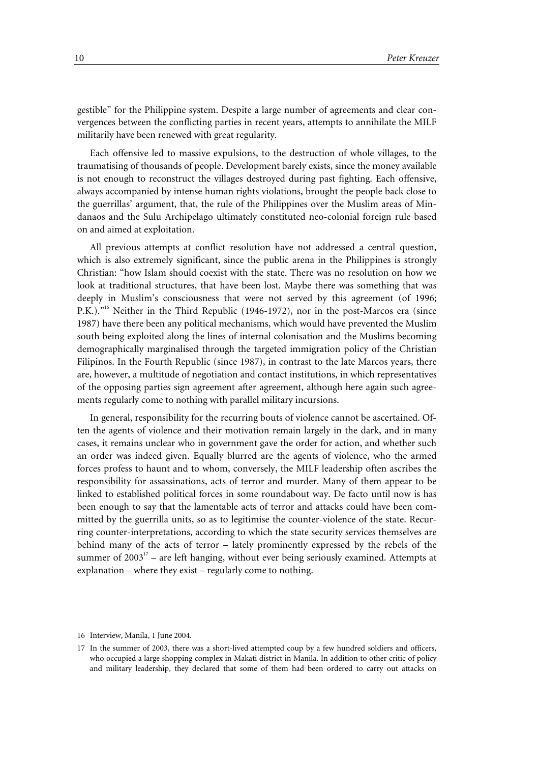gestible" for the Philippine system. Despite a large number of agreements and clear convergences between the conflicting parties in recent years, attempts to annihilate the MILF militarily have been renewed with great regularity.

Each offensive led to massive expulsions, to the destruction of whole villages, to the traumatising of thousands of people. Development barely exists, since the money available is not enough to reconstruct the villages destroyed during past fighting. Each offensive, always accompanied by intense human rights violations, brought the people back close to the guerrillas' argument, that, the rule of the Philippines over the Muslim areas of Mindanaos and the Sulu Archipelago ultimately constituted neo-colonial foreign rule based on and aimed at exploitation.

All previous attempts at conflict resolution have not addressed a central question, which is also extremely significant, since the public arena in the Philippines is strongly Christian: "how Islam should coexist with the state. There was no resolution on how we look at traditional structures, that have been lost. Maybe there was something that was deeply in Muslim's consciousness that were not served by this agreement (of 1996; P.K.)."16 Neither in the Third Republic (1946-1972), nor in the post-Marcos era (since 1987) have there been any political mechanisms, which would have prevented the Muslim south being exploited along the lines of internal colonisation and the Muslims becoming demographically marginalised through the targeted immigration policy of the Christian Filipinos. In the Fourth Republic (since 1987), in contrast to the late Marcos years, there are, however, a multitude of negotiation and contact institutions, in which representatives of the opposing parties sign agreement after agreement, although here again such agreements regularly come to nothing with parallel military incursions.

In general, responsibility for the recurring bouts of violence cannot be ascertained. Often the agents of violence and their motivation remain largely in the dark, and in many cases, it remains unclear who in government gave the order for action, and whether such an order was indeed given. Equally blurred are the agents of violence, who the armed forces profess to haunt and to whom, conversely, the MILF leadership often ascribes the responsibility for assassinations, acts of terror and murder. Many of them appear to be linked to established political forces in some roundabout way. De facto until now is has been enough to say that the lamentable acts of terror and attacks could have been committed by the guerrilla units, so as to legitimise the counter-violence of the state. Recurring counter-interpretations, according to which the state security services themselves are behind many of the acts of terror – lately prominently expressed by the rebels of the summer of  $2003<sup>17</sup>$  – are left hanging, without ever being seriously examined. Attempts at explanation – where they exist – regularly come to nothing.

<sup>16</sup> Interview, Manila, 1 June 2004.

<sup>17</sup> In the summer of 2003, there was a short-lived attempted coup by a few hundred soldiers and officers, who occupied a large shopping complex in Makati district in Manila. In addition to other critic of policy and military leadership, they declared that some of them had been ordered to carry out attacks on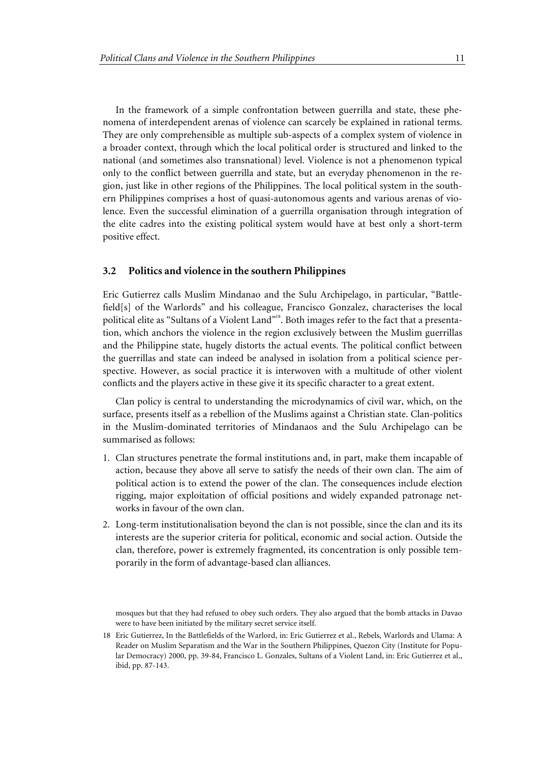In the framework of a simple confrontation between guerrilla and state, these phenomena of interdependent arenas of violence can scarcely be explained in rational terms. They are only comprehensible as multiple sub-aspects of a complex system of violence in a broader context, through which the local political order is structured and linked to the national (and sometimes also transnational) level. Violence is not a phenomenon typical only to the conflict between guerrilla and state, but an everyday phenomenon in the region, just like in other regions of the Philippines. The local political system in the southern Philippines comprises a host of quasi-autonomous agents and various arenas of violence. Even the successful elimination of a guerrilla organisation through integration of the elite cadres into the existing political system would have at best only a short-term positive effect.

#### **3.2 Politics and violence in the southern Philippines**

Eric Gutierrez calls Muslim Mindanao and the Sulu Archipelago, in particular, "Battlefield[s] of the Warlords" and his colleague, Francisco Gonzalez, characterises the local political elite as "Sultans of a Violent Land"<sup>18</sup>. Both images refer to the fact that a presentation, which anchors the violence in the region exclusively between the Muslim guerrillas and the Philippine state, hugely distorts the actual events. The political conflict between the guerrillas and state can indeed be analysed in isolation from a political science perspective. However, as social practice it is interwoven with a multitude of other violent conflicts and the players active in these give it its specific character to a great extent.

Clan policy is central to understanding the microdynamics of civil war, which, on the surface, presents itself as a rebellion of the Muslims against a Christian state. Clan-politics in the Muslim-dominated territories of Mindanaos and the Sulu Archipelago can be summarised as follows:

- 1. Clan structures penetrate the formal institutions and, in part, make them incapable of action, because they above all serve to satisfy the needs of their own clan. The aim of political action is to extend the power of the clan. The consequences include election rigging, major exploitation of official positions and widely expanded patronage networks in favour of the own clan.
- 2. Long-term institutionalisation beyond the clan is not possible, since the clan and its its interests are the superior criteria for political, economic and social action. Outside the clan, therefore, power is extremely fragmented, its concentration is only possible temporarily in the form of advantage-based clan alliances.

mosques but that they had refused to obey such orders. They also argued that the bomb attacks in Davao were to have been initiated by the military secret service itself.

<sup>18</sup> Eric Gutierrez, In the Battlefields of the Warlord, in: Eric Gutierrez et al., Rebels, Warlords and Ulama: A Reader on Muslim Separatism and the War in the Southern Philippines, Quezon City (Institute for Popular Democracy) 2000, pp. 39-84, Francisco L. Gonzales, Sultans of a Violent Land, in: Eric Gutierrez et al., ibid, pp. 87-143.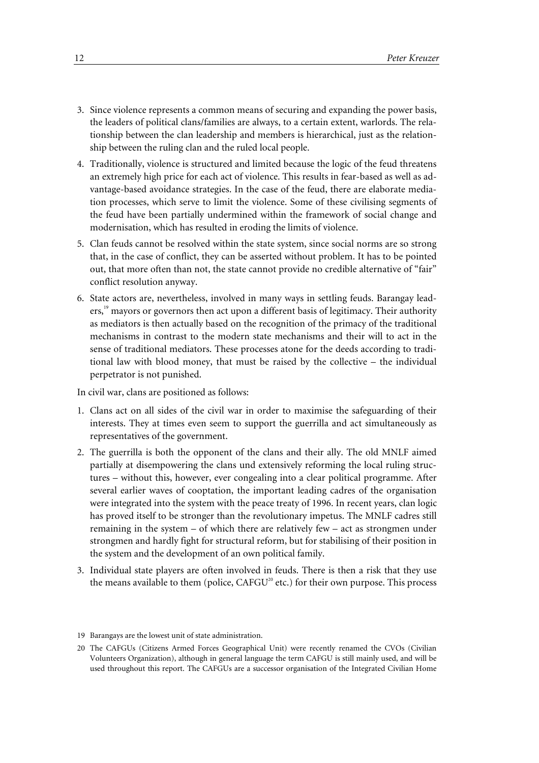- 3. Since violence represents a common means of securing and expanding the power basis, the leaders of political clans/families are always, to a certain extent, warlords. The relationship between the clan leadership and members is hierarchical, just as the relationship between the ruling clan and the ruled local people.
- 4. Traditionally, violence is structured and limited because the logic of the feud threatens an extremely high price for each act of violence. This results in fear-based as well as advantage-based avoidance strategies. In the case of the feud, there are elaborate mediation processes, which serve to limit the violence. Some of these civilising segments of the feud have been partially undermined within the framework of social change and modernisation, which has resulted in eroding the limits of violence.
- 5. Clan feuds cannot be resolved within the state system, since social norms are so strong that, in the case of conflict, they can be asserted without problem. It has to be pointed out, that more often than not, the state cannot provide no credible alternative of "fair" conflict resolution anyway.
- 6. State actors are, nevertheless, involved in many ways in settling feuds. Barangay leaders,<sup>19</sup> mayors or governors then act upon a different basis of legitimacy. Their authority as mediators is then actually based on the recognition of the primacy of the traditional mechanisms in contrast to the modern state mechanisms and their will to act in the sense of traditional mediators. These processes atone for the deeds according to traditional law with blood money, that must be raised by the collective – the individual perpetrator is not punished.

In civil war, clans are positioned as follows:

- 1. Clans act on all sides of the civil war in order to maximise the safeguarding of their interests. They at times even seem to support the guerrilla and act simultaneously as representatives of the government.
- 2. The guerrilla is both the opponent of the clans and their ally. The old MNLF aimed partially at disempowering the clans und extensively reforming the local ruling structures – without this, however, ever congealing into a clear political programme. After several earlier waves of cooptation, the important leading cadres of the organisation were integrated into the system with the peace treaty of 1996. In recent years, clan logic has proved itself to be stronger than the revolutionary impetus. The MNLF cadres still remaining in the system – of which there are relatively few – act as strongmen under strongmen and hardly fight for structural reform, but for stabilising of their position in the system and the development of an own political family.
- 3. Individual state players are often involved in feuds. There is then a risk that they use the means available to them (police,  $CAFGU<sup>20</sup>$  etc.) for their own purpose. This process

<sup>19</sup> Barangays are the lowest unit of state administration.

<sup>20</sup> The CAFGUs (Citizens Armed Forces Geographical Unit) were recently renamed the CVOs (Civilian Volunteers Organization), although in general language the term CAFGU is still mainly used, and will be used throughout this report. The CAFGUs are a successor organisation of the Integrated Civilian Home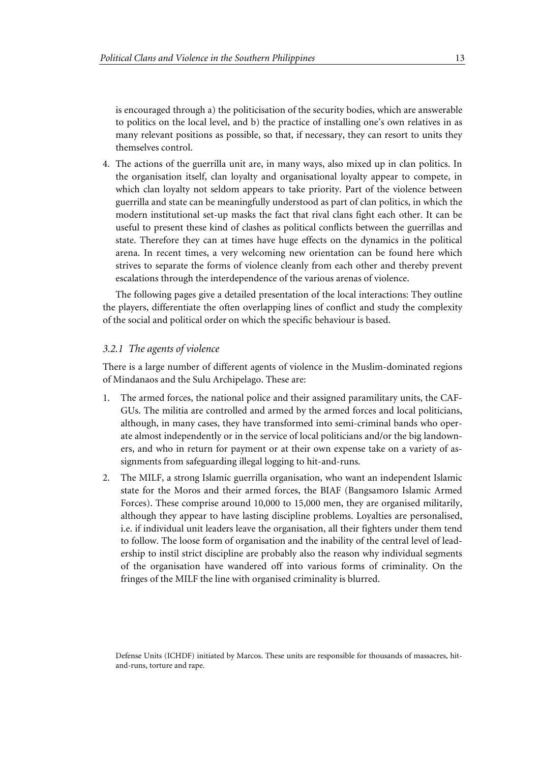is encouraged through a) the politicisation of the security bodies, which are answerable to politics on the local level, and b) the practice of installing one's own relatives in as many relevant positions as possible, so that, if necessary, they can resort to units they themselves control.

4. The actions of the guerrilla unit are, in many ways, also mixed up in clan politics. In the organisation itself, clan loyalty and organisational loyalty appear to compete, in which clan loyalty not seldom appears to take priority. Part of the violence between guerrilla and state can be meaningfully understood as part of clan politics, in which the modern institutional set-up masks the fact that rival clans fight each other. It can be useful to present these kind of clashes as political conflicts between the guerrillas and state. Therefore they can at times have huge effects on the dynamics in the political arena. In recent times, a very welcoming new orientation can be found here which strives to separate the forms of violence cleanly from each other and thereby prevent escalations through the interdependence of the various arenas of violence.

The following pages give a detailed presentation of the local interactions: They outline the players, differentiate the often overlapping lines of conflict and study the complexity of the social and political order on which the specific behaviour is based.

#### *3.2.1 The agents of violence*

There is a large number of different agents of violence in the Muslim-dominated regions of Mindanaos and the Sulu Archipelago. These are:

- 1. The armed forces, the national police and their assigned paramilitary units, the CAF-GUs. The militia are controlled and armed by the armed forces and local politicians, although, in many cases, they have transformed into semi-criminal bands who operate almost independently or in the service of local politicians and/or the big landowners, and who in return for payment or at their own expense take on a variety of assignments from safeguarding illegal logging to hit-and-runs.
- 2. The MILF, a strong Islamic guerrilla organisation, who want an independent Islamic state for the Moros and their armed forces, the BIAF (Bangsamoro Islamic Armed Forces). These comprise around 10,000 to 15,000 men, they are organised militarily, although they appear to have lasting discipline problems. Loyalties are personalised, i.e. if individual unit leaders leave the organisation, all their fighters under them tend to follow. The loose form of organisation and the inability of the central level of leadership to instil strict discipline are probably also the reason why individual segments of the organisation have wandered off into various forms of criminality. On the fringes of the MILF the line with organised criminality is blurred.

Defense Units (ICHDF) initiated by Marcos. These units are responsible for thousands of massacres, hitand-runs, torture and rape.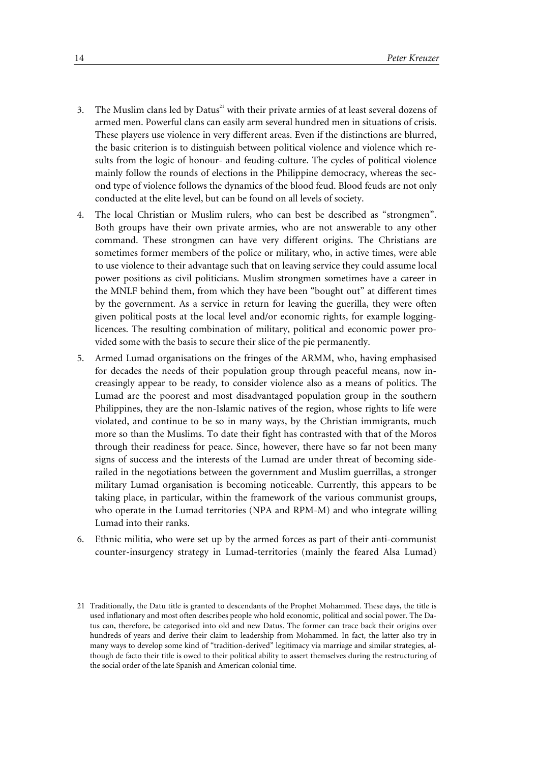- 3. The Muslim clans led by Datus<sup>21</sup> with their private armies of at least several dozens of armed men. Powerful clans can easily arm several hundred men in situations of crisis. These players use violence in very different areas. Even if the distinctions are blurred, the basic criterion is to distinguish between political violence and violence which results from the logic of honour- and feuding-culture. The cycles of political violence mainly follow the rounds of elections in the Philippine democracy, whereas the second type of violence follows the dynamics of the blood feud. Blood feuds are not only conducted at the elite level, but can be found on all levels of society.
- 4. The local Christian or Muslim rulers, who can best be described as "strongmen". Both groups have their own private armies, who are not answerable to any other command. These strongmen can have very different origins. The Christians are sometimes former members of the police or military, who, in active times, were able to use violence to their advantage such that on leaving service they could assume local power positions as civil politicians. Muslim strongmen sometimes have a career in the MNLF behind them, from which they have been "bought out" at different times by the government. As a service in return for leaving the guerilla, they were often given political posts at the local level and/or economic rights, for example logginglicences. The resulting combination of military, political and economic power provided some with the basis to secure their slice of the pie permanently.
- 5. Armed Lumad organisations on the fringes of the ARMM, who, having emphasised for decades the needs of their population group through peaceful means, now increasingly appear to be ready, to consider violence also as a means of politics. The Lumad are the poorest and most disadvantaged population group in the southern Philippines, they are the non-Islamic natives of the region, whose rights to life were violated, and continue to be so in many ways, by the Christian immigrants, much more so than the Muslims. To date their fight has contrasted with that of the Moros through their readiness for peace. Since, however, there have so far not been many signs of success and the interests of the Lumad are under threat of becoming siderailed in the negotiations between the government and Muslim guerrillas, a stronger military Lumad organisation is becoming noticeable. Currently, this appears to be taking place, in particular, within the framework of the various communist groups, who operate in the Lumad territories (NPA and RPM-M) and who integrate willing Lumad into their ranks.
- 6. Ethnic militia, who were set up by the armed forces as part of their anti-communist counter-insurgency strategy in Lumad-territories (mainly the feared Alsa Lumad)

<sup>21</sup> Traditionally, the Datu title is granted to descendants of the Prophet Mohammed. These days, the title is used inflationary and most often describes people who hold economic, political and social power. The Datus can, therefore, be categorised into old and new Datus. The former can trace back their origins over hundreds of years and derive their claim to leadership from Mohammed. In fact, the latter also try in many ways to develop some kind of "tradition-derived" legitimacy via marriage and similar strategies, although de facto their title is owed to their political ability to assert themselves during the restructuring of the social order of the late Spanish and American colonial time.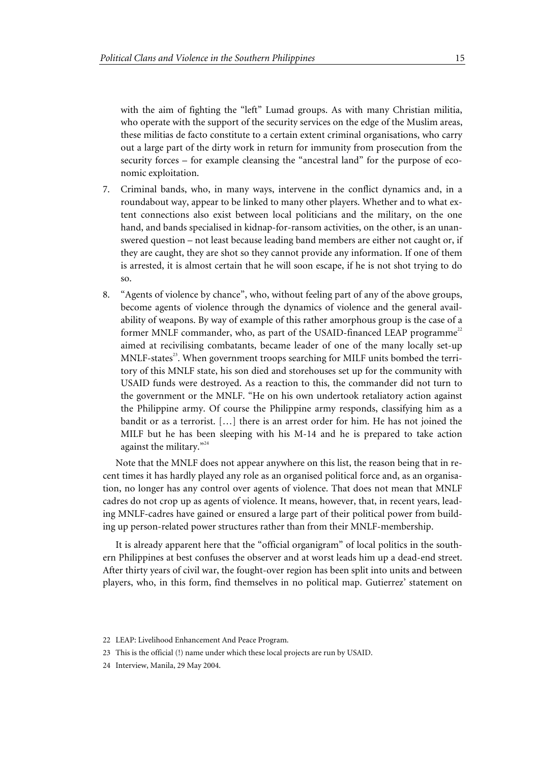with the aim of fighting the "left" Lumad groups. As with many Christian militia, who operate with the support of the security services on the edge of the Muslim areas, these militias de facto constitute to a certain extent criminal organisations, who carry out a large part of the dirty work in return for immunity from prosecution from the security forces – for example cleansing the "ancestral land" for the purpose of economic exploitation.

- 7. Criminal bands, who, in many ways, intervene in the conflict dynamics and, in a roundabout way, appear to be linked to many other players. Whether and to what extent connections also exist between local politicians and the military, on the one hand, and bands specialised in kidnap-for-ransom activities, on the other, is an unanswered question – not least because leading band members are either not caught or, if they are caught, they are shot so they cannot provide any information. If one of them is arrested, it is almost certain that he will soon escape, if he is not shot trying to do so.
- 8. "Agents of violence by chance", who, without feeling part of any of the above groups, become agents of violence through the dynamics of violence and the general availability of weapons. By way of example of this rather amorphous group is the case of a former MNLF commander, who, as part of the USAID-financed LEAP programme<sup>22</sup> aimed at recivilising combatants, became leader of one of the many locally set-up  $MNLF\text{-states}^{23}$ . When government troops searching for MILF units bombed the territory of this MNLF state, his son died and storehouses set up for the community with USAID funds were destroyed. As a reaction to this, the commander did not turn to the government or the MNLF. "He on his own undertook retaliatory action against the Philippine army. Of course the Philippine army responds, classifying him as a bandit or as a terrorist. […] there is an arrest order for him. He has not joined the MILF but he has been sleeping with his M-14 and he is prepared to take action against the military. $^{224}$

Note that the MNLF does not appear anywhere on this list, the reason being that in recent times it has hardly played any role as an organised political force and, as an organisation, no longer has any control over agents of violence. That does not mean that MNLF cadres do not crop up as agents of violence. It means, however, that, in recent years, leading MNLF-cadres have gained or ensured a large part of their political power from building up person-related power structures rather than from their MNLF-membership.

It is already apparent here that the "official organigram" of local politics in the southern Philippines at best confuses the observer and at worst leads him up a dead-end street. After thirty years of civil war, the fought-over region has been split into units and between players, who, in this form, find themselves in no political map. Gutierrez' statement on

<sup>22</sup> LEAP: Livelihood Enhancement And Peace Program.

<sup>23</sup> This is the official (!) name under which these local projects are run by USAID.

<sup>24</sup> Interview, Manila, 29 May 2004.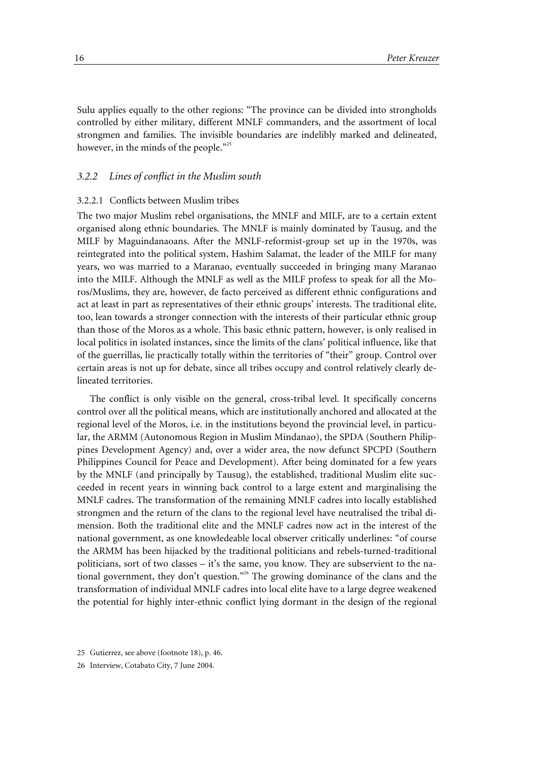Sulu applies equally to the other regions: "The province can be divided into strongholds controlled by either military, different MNLF commanders, and the assortment of local strongmen and families. The invisible boundaries are indelibly marked and delineated, however, in the minds of the people."<sup>25</sup>

#### *3.2.2 Lines of conflict in the Muslim south*

#### 3.2.2.1 Conflicts between Muslim tribes

The two major Muslim rebel organisations, the MNLF and MILF, are to a certain extent organised along ethnic boundaries. The MNLF is mainly dominated by Tausug, and the MILF by Maguindanaoans. After the MNLF-reformist-group set up in the 1970s, was reintegrated into the political system, Hashim Salamat, the leader of the MILF for many years, wo was married to a Maranao, eventually succeeded in bringing many Maranao into the MILF. Although the MNLF as well as the MILF profess to speak for all the Moros/Muslims, they are, however, de facto perceived as different ethnic configurations and act at least in part as representatives of their ethnic groups' interests. The traditional elite, too, lean towards a stronger connection with the interests of their particular ethnic group than those of the Moros as a whole. This basic ethnic pattern, however, is only realised in local politics in isolated instances, since the limits of the clans' political influence, like that of the guerrillas, lie practically totally within the territories of "their" group. Control over certain areas is not up for debate, since all tribes occupy and control relatively clearly delineated territories.

The conflict is only visible on the general, cross-tribal level. It specifically concerns control over all the political means, which are institutionally anchored and allocated at the regional level of the Moros, i.e. in the institutions beyond the provincial level, in particular, the ARMM (Autonomous Region in Muslim Mindanao), the SPDA (Southern Philippines Development Agency) and, over a wider area, the now defunct SPCPD (Southern Philippines Council for Peace and Development). After being dominated for a few years by the MNLF (and principally by Tausug), the established, traditional Muslim elite succeeded in recent years in winning back control to a large extent and marginalising the MNLF cadres. The transformation of the remaining MNLF cadres into locally established strongmen and the return of the clans to the regional level have neutralised the tribal dimension. Both the traditional elite and the MNLF cadres now act in the interest of the national government, as one knowledeable local observer critically underlines: "of course the ARMM has been hijacked by the traditional politicians and rebels-turned-traditional politicians, sort of two classes – it's the same, you know. They are subservient to the national government, they don't question."<sup>26</sup> The growing dominance of the clans and the transformation of individual MNLF cadres into local elite have to a large degree weakened the potential for highly inter-ethnic conflict lying dormant in the design of the regional

<sup>25</sup> Gutierrez, see above (footnote 18), p. 46.

<sup>26</sup> Interview, Cotabato City, 7 June 2004.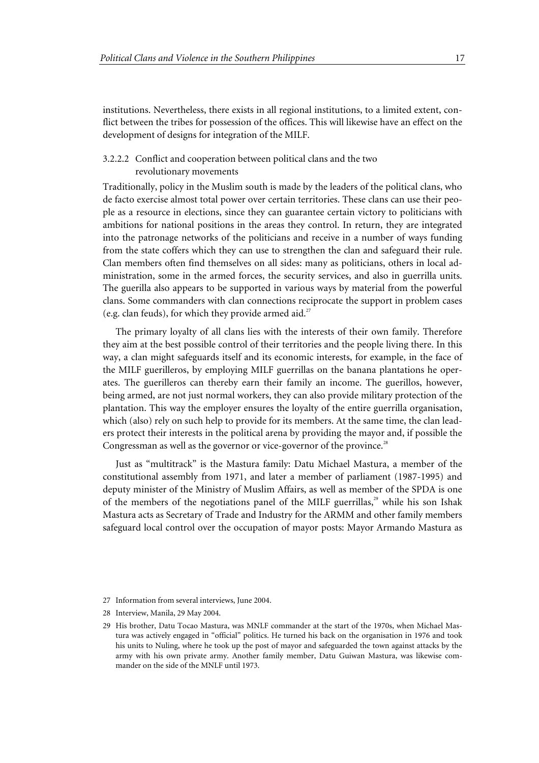institutions. Nevertheless, there exists in all regional institutions, to a limited extent, conflict between the tribes for possession of the offices. This will likewise have an effect on the development of designs for integration of the MILF.

#### 3.2.2.2 Conflict and cooperation between political clans and the two revolutionary movements

Traditionally, policy in the Muslim south is made by the leaders of the political clans, who de facto exercise almost total power over certain territories. These clans can use their people as a resource in elections, since they can guarantee certain victory to politicians with ambitions for national positions in the areas they control. In return, they are integrated into the patronage networks of the politicians and receive in a number of ways funding from the state coffers which they can use to strengthen the clan and safeguard their rule. Clan members often find themselves on all sides: many as politicians, others in local administration, some in the armed forces, the security services, and also in guerrilla units. The guerilla also appears to be supported in various ways by material from the powerful clans. Some commanders with clan connections reciprocate the support in problem cases (e.g. clan feuds), for which they provide armed aid.<sup>27</sup>

The primary loyalty of all clans lies with the interests of their own family. Therefore they aim at the best possible control of their territories and the people living there. In this way, a clan might safeguards itself and its economic interests, for example, in the face of the MILF guerilleros, by employing MILF guerrillas on the banana plantations he operates. The guerilleros can thereby earn their family an income. The guerillos, however, being armed, are not just normal workers, they can also provide military protection of the plantation. This way the employer ensures the loyalty of the entire guerrilla organisation, which (also) rely on such help to provide for its members. At the same time, the clan leaders protect their interests in the political arena by providing the mayor and, if possible the Congressman as well as the governor or vice-governor of the province.<sup>28</sup>

Just as "multitrack" is the Mastura family: Datu Michael Mastura, a member of the constitutional assembly from 1971, and later a member of parliament (1987-1995) and deputy minister of the Ministry of Muslim Affairs, as well as member of the SPDA is one of the members of the negotiations panel of the MILF guerrillas,<sup>29</sup> while his son Ishak Mastura acts as Secretary of Trade and Industry for the ARMM and other family members safeguard local control over the occupation of mayor posts: Mayor Armando Mastura as

<sup>27</sup> Information from several interviews, June 2004.

<sup>28</sup> Interview, Manila, 29 May 2004.

<sup>29</sup> His brother, Datu Tocao Mastura, was MNLF commander at the start of the 1970s, when Michael Mastura was actively engaged in "official" politics. He turned his back on the organisation in 1976 and took his units to Nuling, where he took up the post of mayor and safeguarded the town against attacks by the army with his own private army. Another family member, Datu Guiwan Mastura, was likewise commander on the side of the MNLF until 1973.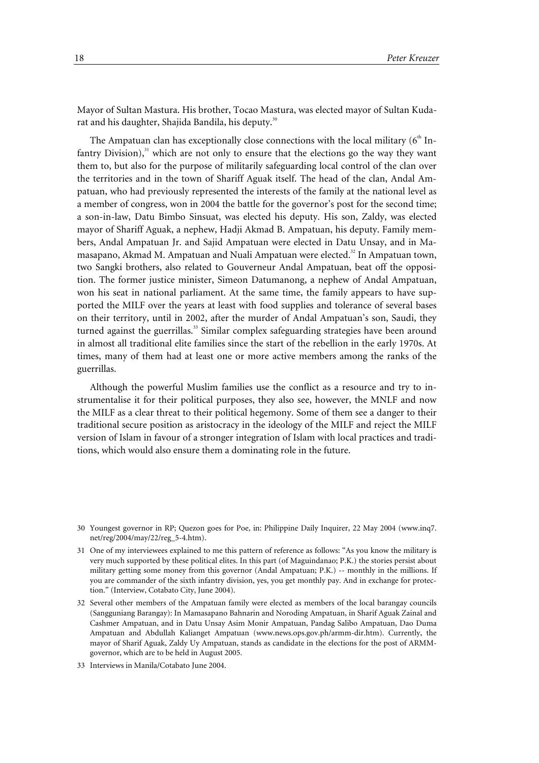Mayor of Sultan Mastura. His brother, Tocao Mastura, was elected mayor of Sultan Kudarat and his daughter, Shajida Bandila, his deputy.<sup>30</sup>

The Ampatuan clan has exceptionally close connections with the local military  $(6<sup>th</sup>$  Infantry Division), $31$  which are not only to ensure that the elections go the way they want them to, but also for the purpose of militarily safeguarding local control of the clan over the territories and in the town of Shariff Aguak itself. The head of the clan, Andal Ampatuan, who had previously represented the interests of the family at the national level as a member of congress, won in 2004 the battle for the governor's post for the second time; a son-in-law, Datu Bimbo Sinsuat, was elected his deputy. His son, Zaldy, was elected mayor of Shariff Aguak, a nephew, Hadji Akmad B. Ampatuan, his deputy. Family members, Andal Ampatuan Jr. and Sajid Ampatuan were elected in Datu Unsay, and in Mamasapano, Akmad M. Ampatuan and Nuali Ampatuan were elected.<sup>32</sup> In Ampatuan town, two Sangki brothers, also related to Gouverneur Andal Ampatuan, beat off the opposition. The former justice minister, Simeon Datumanong, a nephew of Andal Ampatuan, won his seat in national parliament. At the same time, the family appears to have supported the MILF over the years at least with food supplies and tolerance of several bases on their territory, until in 2002, after the murder of Andal Ampatuan's son, Saudi, they turned against the guerrillas.<sup>33</sup> Similar complex safeguarding strategies have been around in almost all traditional elite families since the start of the rebellion in the early 1970s. At times, many of them had at least one or more active members among the ranks of the guerrillas.

Although the powerful Muslim families use the conflict as a resource and try to instrumentalise it for their political purposes, they also see, however, the MNLF and now the MILF as a clear threat to their political hegemony. Some of them see a danger to their traditional secure position as aristocracy in the ideology of the MILF and reject the MILF version of Islam in favour of a stronger integration of Islam with local practices and traditions, which would also ensure them a dominating role in the future.

33 Interviews in Manila/Cotabato June 2004.

<sup>30</sup> Youngest governor in RP; Quezon goes for Poe, in: Philippine Daily Inquirer, 22 May 2004 (www.inq7. net/reg/2004/may/22/reg\_5-4.htm).

<sup>31</sup> One of my interviewees explained to me this pattern of reference as follows: "As you know the military is very much supported by these political elites. In this part (of Maguindanao; P.K.) the stories persist about military getting some money from this governor (Andal Ampatuan; P.K.) -- monthly in the millions. If you are commander of the sixth infantry division, yes, you get monthly pay. And in exchange for protection." (Interview, Cotabato City, June 2004).

<sup>32</sup> Several other members of the Ampatuan family were elected as members of the local barangay councils (Sangguniang Barangay): In Mamasapano Bahnarin and Noroding Ampatuan, in Sharif Aguak Zainal and Cashmer Ampatuan, and in Datu Unsay Asim Monir Ampatuan, Pandag Salibo Ampatuan, Dao Duma Ampatuan and Abdullah Kalianget Ampatuan (www.news.ops.gov.ph/armm-dir.htm). Currently, the mayor of Sharif Aguak, Zaldy Uy Ampatuan, stands as candidate in the elections for the post of ARMMgovernor, which are to be held in August 2005.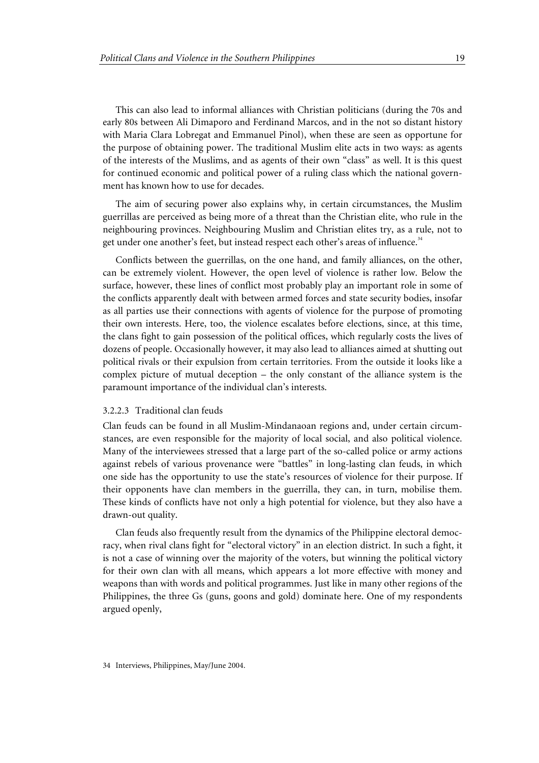This can also lead to informal alliances with Christian politicians (during the 70s and early 80s between Ali Dimaporo and Ferdinand Marcos, and in the not so distant history with Maria Clara Lobregat and Emmanuel Pinol), when these are seen as opportune for the purpose of obtaining power. The traditional Muslim elite acts in two ways: as agents of the interests of the Muslims, and as agents of their own "class" as well. It is this quest for continued economic and political power of a ruling class which the national government has known how to use for decades.

The aim of securing power also explains why, in certain circumstances, the Muslim guerrillas are perceived as being more of a threat than the Christian elite, who rule in the neighbouring provinces. Neighbouring Muslim and Christian elites try, as a rule, not to get under one another's feet, but instead respect each other's areas of influence.<sup>34</sup>

Conflicts between the guerrillas, on the one hand, and family alliances, on the other, can be extremely violent. However, the open level of violence is rather low. Below the surface, however, these lines of conflict most probably play an important role in some of the conflicts apparently dealt with between armed forces and state security bodies, insofar as all parties use their connections with agents of violence for the purpose of promoting their own interests. Here, too, the violence escalates before elections, since, at this time, the clans fight to gain possession of the political offices, which regularly costs the lives of dozens of people. Occasionally however, it may also lead to alliances aimed at shutting out political rivals or their expulsion from certain territories. From the outside it looks like a complex picture of mutual deception – the only constant of the alliance system is the paramount importance of the individual clan's interests.

#### 3.2.2.3 Traditional clan feuds

Clan feuds can be found in all Muslim-Mindanaoan regions and, under certain circumstances, are even responsible for the majority of local social, and also political violence. Many of the interviewees stressed that a large part of the so-called police or army actions against rebels of various provenance were "battles" in long-lasting clan feuds, in which one side has the opportunity to use the state's resources of violence for their purpose. If their opponents have clan members in the guerrilla, they can, in turn, mobilise them. These kinds of conflicts have not only a high potential for violence, but they also have a drawn-out quality.

Clan feuds also frequently result from the dynamics of the Philippine electoral democracy, when rival clans fight for "electoral victory" in an election district. In such a fight, it is not a case of winning over the majority of the voters, but winning the political victory for their own clan with all means, which appears a lot more effective with money and weapons than with words and political programmes. Just like in many other regions of the Philippines, the three Gs (guns, goons and gold) dominate here. One of my respondents argued openly,

<sup>34</sup> Interviews, Philippines, May/June 2004.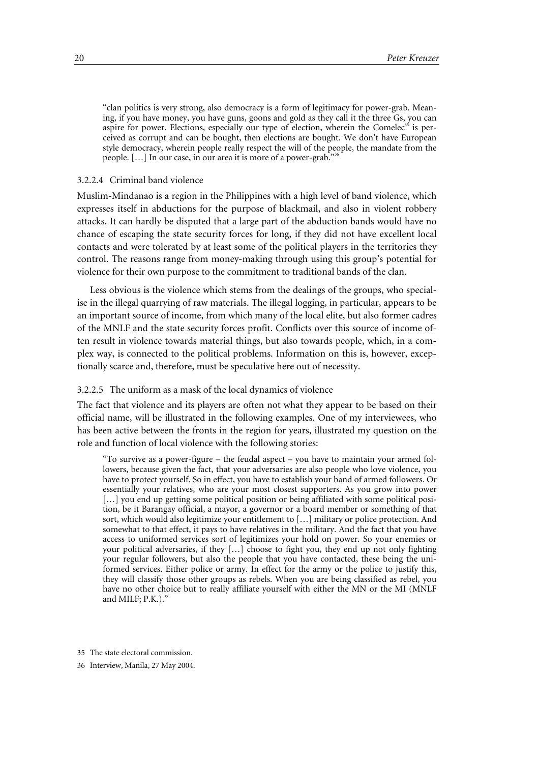"clan politics is very strong, also democracy is a form of legitimacy for power-grab. Meaning, if you have money, you have guns, goons and gold as they call it the three Gs, you can aspire for power. Elections, especially our type of election, wherein the Comelec<sup>35</sup> is perceived as corrupt and can be bought, then elections are bought. We don't have European style democracy, wherein people really respect the will of the people, the mandate from the people. [...] In our case, in our area it is more of a power-grab.'

#### 3.2.2.4 Criminal band violence

Muslim-Mindanao is a region in the Philippines with a high level of band violence, which expresses itself in abductions for the purpose of blackmail, and also in violent robbery attacks. It can hardly be disputed that a large part of the abduction bands would have no chance of escaping the state security forces for long, if they did not have excellent local contacts and were tolerated by at least some of the political players in the territories they control. The reasons range from money-making through using this group's potential for violence for their own purpose to the commitment to traditional bands of the clan.

Less obvious is the violence which stems from the dealings of the groups, who specialise in the illegal quarrying of raw materials. The illegal logging, in particular, appears to be an important source of income, from which many of the local elite, but also former cadres of the MNLF and the state security forces profit. Conflicts over this source of income often result in violence towards material things, but also towards people, which, in a complex way, is connected to the political problems. Information on this is, however, exceptionally scarce and, therefore, must be speculative here out of necessity.

#### 3.2.2.5 The uniform as a mask of the local dynamics of violence

The fact that violence and its players are often not what they appear to be based on their official name, will be illustrated in the following examples. One of my interviewees, who has been active between the fronts in the region for years, illustrated my question on the role and function of local violence with the following stories:

"To survive as a power-figure – the feudal aspect – you have to maintain your armed followers, because given the fact, that your adversaries are also people who love violence, you have to protect yourself. So in effect, you have to establish your band of armed followers. Or essentially your relatives, who are your most closest supporters. As you grow into power [...] you end up getting some political position or being affiliated with some political position, be it Barangay official, a mayor, a governor or a board member or something of that sort, which would also legitimize your entitlement to […] military or police protection. And somewhat to that effect, it pays to have relatives in the military. And the fact that you have access to uniformed services sort of legitimizes your hold on power. So your enemies or your political adversaries, if they […] choose to fight you, they end up not only fighting your regular followers, but also the people that you have contacted, these being the uniformed services. Either police or army. In effect for the army or the police to justify this, they will classify those other groups as rebels. When you are being classified as rebel, you have no other choice but to really affiliate yourself with either the MN or the MI (MNLF and MILF; P.K.)."

<sup>35</sup> The state electoral commission.

<sup>36</sup> Interview, Manila, 27 May 2004.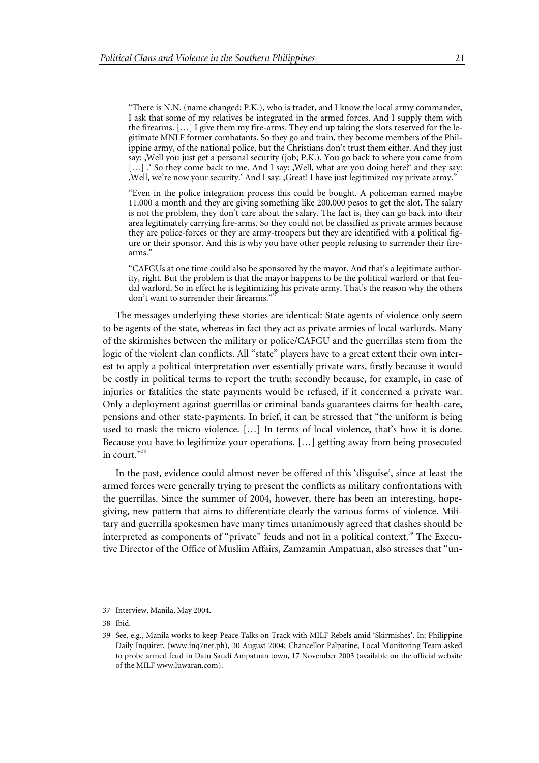"There is N.N. (name changed; P.K.), who is trader, and I know the local army commander, I ask that some of my relatives be integrated in the armed forces. And I supply them with the firearms. […] I give them my fire-arms. They end up taking the slots reserved for the legitimate MNLF former combatants. So they go and train, they become members of the Philippine army, of the national police, but the Christians don't trust them either. And they just say: 'Well you just get a personal security (job; P.K.). You go back to where you came from [...] .' So they come back to me. And I say: , Well, what are you doing here?' and they say: Well, we're now your security.' And I say: ,Great! I have just legitimized my private army."

"Even in the police integration process this could be bought. A policeman earned maybe 11.000 a month and they are giving something like 200.000 pesos to get the slot. The salary is not the problem, they don't care about the salary. The fact is, they can go back into their area legitimately carrying fire-arms. So they could not be classified as private armies because they are police-forces or they are army-troopers but they are identified with a political figure or their sponsor. And this is why you have other people refusing to surrender their firearms."

"CAFGUs at one time could also be sponsored by the mayor. And that's a legitimate authority, right. But the problem is that the mayor happens to be the political warlord or that feudal warlord. So in effect he is legitimizing his private army. That's the reason why the others don't want to surrender their firearms."<sup>3</sup>

The messages underlying these stories are identical: State agents of violence only seem to be agents of the state, whereas in fact they act as private armies of local warlords. Many of the skirmishes between the military or police/CAFGU and the guerrillas stem from the logic of the violent clan conflicts. All "state" players have to a great extent their own interest to apply a political interpretation over essentially private wars, firstly because it would be costly in political terms to report the truth; secondly because, for example, in case of injuries or fatalities the state payments would be refused, if it concerned a private war. Only a deployment against guerrillas or criminal bands guarantees claims for health-care, pensions and other state-payments. In brief, it can be stressed that "the uniform is being used to mask the micro-violence. […] In terms of local violence, that's how it is done. Because you have to legitimize your operations. […] getting away from being prosecuted in court."<sup>38</sup>

In the past, evidence could almost never be offered of this 'disguise', since at least the armed forces were generally trying to present the conflicts as military confrontations with the guerrillas. Since the summer of 2004, however, there has been an interesting, hopegiving, new pattern that aims to differentiate clearly the various forms of violence. Military and guerrilla spokesmen have many times unanimously agreed that clashes should be interpreted as components of "private" feuds and not in a political context.<sup>39</sup> The Executive Director of the Office of Muslim Affairs, Zamzamin Ampatuan, also stresses that "un-

<sup>37</sup> Interview, Manila, May 2004.

<sup>38</sup> Ibid.

<sup>39</sup> See, e.g., Manila works to keep Peace Talks on Track with MILF Rebels amid 'Skirmishes'. In: Philippine Daily Inquirer, (www.inq7net.ph), 30 August 2004; Chancellor Palpatine, Local Monitoring Team asked to probe armed feud in Datu Saudi Ampatuan town, 17 November 2003 (available on the official website of the MILF www.luwaran.com).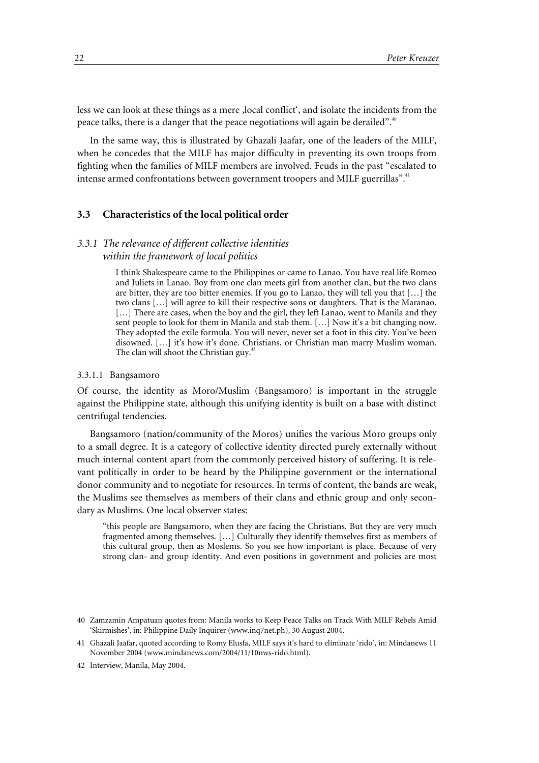less we can look at these things as a mere , local conflict', and isolate the incidents from the peace talks, there is a danger that the peace negotiations will again be derailed".<sup>40</sup>

In the same way, this is illustrated by Ghazali Jaafar, one of the leaders of the MILF, when he concedes that the MILF has major difficulty in preventing its own troops from fighting when the families of MILF members are involved. Feuds in the past "escalated to intense armed confrontations between government troopers and MILF guerrillas".<sup>41</sup>

#### **3.3 Characteristics of the local political order**

#### *3.3.1 The relevance of different collective identities within the framework of local politics*

I think Shakespeare came to the Philippines or came to Lanao. You have real life Romeo and Juliets in Lanao. Boy from one clan meets girl from another clan, but the two clans are bitter, they are too bitter enemies. If you go to Lanao, they will tell you that […] the two clans […] will agree to kill their respective sons or daughters. That is the Maranao. [...] There are cases, when the boy and the girl, they left Lanao, went to Manila and they sent people to look for them in Manila and stab them. […] Now it's a bit changing now. They adopted the exile formula. You will never, never set a foot in this city. You've been disowned. […] it's how it's done. Christians, or Christian man marry Muslim woman. The clan will shoot the Christian guy.<sup>42</sup>

#### 3.3.1.1 Bangsamoro

Of course, the identity as Moro/Muslim (Bangsamoro) is important in the struggle against the Philippine state, although this unifying identity is built on a base with distinct centrifugal tendencies.

Bangsamoro (nation/community of the Moros) unifies the various Moro groups only to a small degree. It is a category of collective identity directed purely externally without much internal content apart from the commonly perceived history of suffering. It is relevant politically in order to be heard by the Philippine government or the international donor community and to negotiate for resources. In terms of content, the bands are weak, the Muslims see themselves as members of their clans and ethnic group and only secondary as Muslims. One local observer states:

"this people are Bangsamoro, when they are facing the Christians. But they are very much fragmented among themselves. […] Culturally they identify themselves first as members of this cultural group, then as Moslems. So you see how important is place. Because of very strong clan- and group identity. And even positions in government and policies are most

<sup>40</sup> Zamzamin Ampatuan quotes from: Manila works to Keep Peace Talks on Track With MILF Rebels Amid 'Skirmishes', in: Philippine Daily Inquirer (www.inq7net.ph), 30 August 2004.

<sup>41</sup> Ghazali Jaafar, quoted according to Romy Elusfa, MILF says it's hard to eliminate 'rido', in: Mindanews 11 November 2004 (www.mindanews.com/2004/11/10nws-rido.html).

<sup>42</sup> Interview, Manila, May 2004.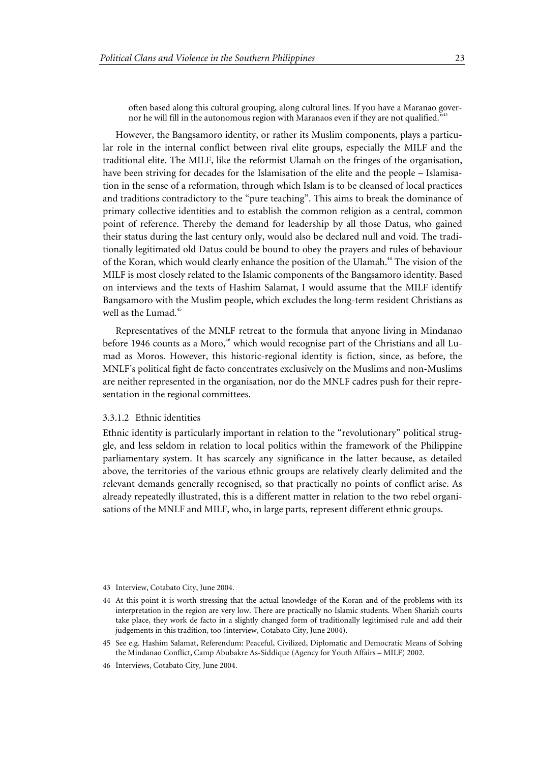often based along this cultural grouping, along cultural lines. If you have a Maranao governor he will fill in the autonomous region with Maranaos even if they are not qualified."

However, the Bangsamoro identity, or rather its Muslim components, plays a particular role in the internal conflict between rival elite groups, especially the MILF and the traditional elite. The MILF, like the reformist Ulamah on the fringes of the organisation, have been striving for decades for the Islamisation of the elite and the people – Islamisation in the sense of a reformation, through which Islam is to be cleansed of local practices and traditions contradictory to the "pure teaching". This aims to break the dominance of primary collective identities and to establish the common religion as a central, common point of reference. Thereby the demand for leadership by all those Datus, who gained their status during the last century only, would also be declared null and void. The traditionally legitimated old Datus could be bound to obey the prayers and rules of behaviour of the Koran, which would clearly enhance the position of the Ulamah.<sup>44</sup> The vision of the MILF is most closely related to the Islamic components of the Bangsamoro identity. Based on interviews and the texts of Hashim Salamat, I would assume that the MILF identify Bangsamoro with the Muslim people, which excludes the long-term resident Christians as well as the Lumad.<sup>45</sup>

Representatives of the MNLF retreat to the formula that anyone living in Mindanao before 1946 counts as a Moro,<sup>46</sup> which would recognise part of the Christians and all Lumad as Moros. However, this historic-regional identity is fiction, since, as before, the MNLF's political fight de facto concentrates exclusively on the Muslims and non-Muslims are neither represented in the organisation, nor do the MNLF cadres push for their representation in the regional committees.

#### 3.3.1.2 Ethnic identities

Ethnic identity is particularly important in relation to the "revolutionary" political struggle, and less seldom in relation to local politics within the framework of the Philippine parliamentary system. It has scarcely any significance in the latter because, as detailed above, the territories of the various ethnic groups are relatively clearly delimited and the relevant demands generally recognised, so that practically no points of conflict arise. As already repeatedly illustrated, this is a different matter in relation to the two rebel organisations of the MNLF and MILF, who, in large parts, represent different ethnic groups.

- 43 Interview, Cotabato City, June 2004.
- 44 At this point it is worth stressing that the actual knowledge of the Koran and of the problems with its interpretation in the region are very low. There are practically no Islamic students. When Shariah courts take place, they work de facto in a slightly changed form of traditionally legitimised rule and add their judgements in this tradition, too (interview, Cotabato City, June 2004).
- 45 See e.g. Hashim Salamat, Referendum: Peaceful, Civilized, Diplomatic and Democratic Means of Solving the Mindanao Conflict, Camp Abubakre As-Siddique (Agency for Youth Affairs – MILF) 2002.
- 46 Interviews, Cotabato City, June 2004.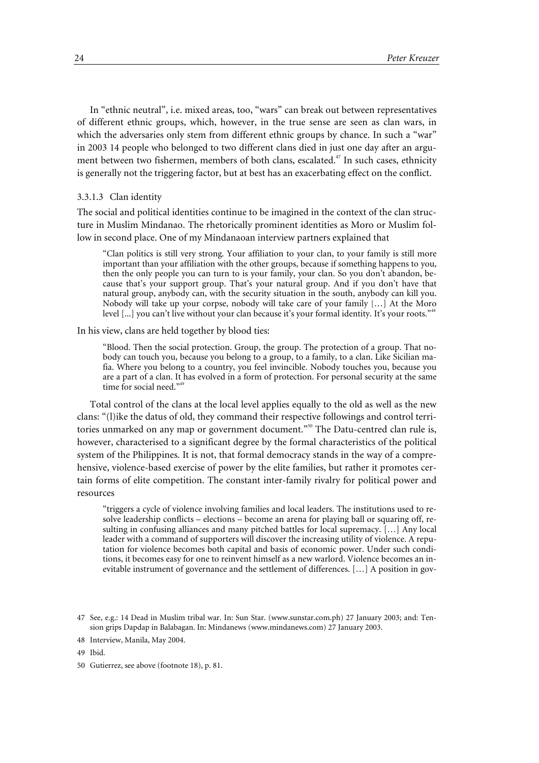In "ethnic neutral", i.e. mixed areas, too, "wars" can break out between representatives of different ethnic groups, which, however, in the true sense are seen as clan wars, in which the adversaries only stem from different ethnic groups by chance. In such a "war" in 2003 14 people who belonged to two different clans died in just one day after an argument between two fishermen, members of both clans, escalated.<sup>47</sup> In such cases, ethnicity is generally not the triggering factor, but at best has an exacerbating effect on the conflict.

#### 3.3.1.3 Clan identity

The social and political identities continue to be imagined in the context of the clan structure in Muslim Mindanao. The rhetorically prominent identities as Moro or Muslim follow in second place. One of my Mindanaoan interview partners explained that

"Clan politics is still very strong. Your affiliation to your clan, to your family is still more important than your affiliation with the other groups, because if something happens to you, then the only people you can turn to is your family, your clan. So you don't abandon, because that's your support group. That's your natural group. And if you don't have that natural group, anybody can, with the security situation in the south, anybody can kill you. Nobody will take up your corpse, nobody will take care of your family […] At the Moro level [...] you can't live without your clan because it's your formal identity. It's your roots."<sup>48</sup>

In his view, clans are held together by blood ties:

"Blood. Then the social protection. Group, the group. The protection of a group. That nobody can touch you, because you belong to a group, to a family, to a clan. Like Sicilian mafia. Where you belong to a country, you feel invincible. Nobody touches you, because you are a part of a clan. It has evolved in a form of protection. For personal security at the same time for social need."4

Total control of the clans at the local level applies equally to the old as well as the new clans: "(l)ike the datus of old, they command their respective followings and control territories unmarked on any map or government document."<sup>50</sup> The Datu-centred clan rule is, however, characterised to a significant degree by the formal characteristics of the political system of the Philippines. It is not, that formal democracy stands in the way of a comprehensive, violence-based exercise of power by the elite families, but rather it promotes certain forms of elite competition. The constant inter-family rivalry for political power and resources

"triggers a cycle of violence involving families and local leaders. The institutions used to resolve leadership conflicts – elections – become an arena for playing ball or squaring off, resulting in confusing alliances and many pitched battles for local supremacy. […] Any local leader with a command of supporters will discover the increasing utility of violence. A reputation for violence becomes both capital and basis of economic power. Under such conditions, it becomes easy for one to reinvent himself as a new warlord. Violence becomes an inevitable instrument of governance and the settlement of differences. […] A position in gov-

<sup>47</sup> See, e.g.: 14 Dead in Muslim tribal war. In: Sun Star. (www.sunstar.com.ph) 27 January 2003; and: Tension grips Dapdap in Balabagan. In: Mindanews (www.mindanews.com) 27 January 2003.

<sup>48</sup> Interview, Manila, May 2004.

<sup>49</sup> Ibid.

<sup>50</sup> Gutierrez, see above (footnote 18), p. 81.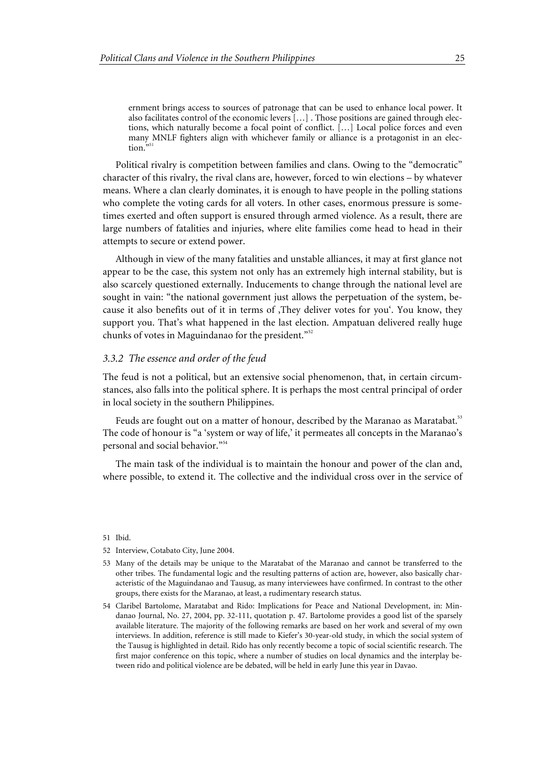ernment brings access to sources of patronage that can be used to enhance local power. It also facilitates control of the economic levers […] . Those positions are gained through elections, which naturally become a focal point of conflict. […] Local police forces and even many MNLF fighters align with whichever family or alliance is a protagonist in an election.

Political rivalry is competition between families and clans. Owing to the "democratic" character of this rivalry, the rival clans are, however, forced to win elections – by whatever means. Where a clan clearly dominates, it is enough to have people in the polling stations who complete the voting cards for all voters. In other cases, enormous pressure is sometimes exerted and often support is ensured through armed violence. As a result, there are large numbers of fatalities and injuries, where elite families come head to head in their attempts to secure or extend power.

Although in view of the many fatalities and unstable alliances, it may at first glance not appear to be the case, this system not only has an extremely high internal stability, but is also scarcely questioned externally. Inducements to change through the national level are sought in vain: "the national government just allows the perpetuation of the system, because it also benefits out of it in terms of , They deliver votes for you'. You know, they support you. That's what happened in the last election. Ampatuan delivered really huge chunks of votes in Maguindanao for the president."<sup>52</sup>

#### *3.3.2 The essence and order of the feud*

The feud is not a political, but an extensive social phenomenon, that, in certain circumstances, also falls into the political sphere. It is perhaps the most central principal of order in local society in the southern Philippines.

Feuds are fought out on a matter of honour, described by the Maranao as Maratabat.<sup>53</sup> The code of honour is "a 'system or way of life,' it permeates all concepts in the Maranao's personal and social behavior."<sup>54</sup>

The main task of the individual is to maintain the honour and power of the clan and, where possible, to extend it. The collective and the individual cross over in the service of

- 53 Many of the details may be unique to the Maratabat of the Maranao and cannot be transferred to the other tribes. The fundamental logic and the resulting patterns of action are, however, also basically characteristic of the Maguindanao and Tausug, as many interviewees have confirmed. In contrast to the other groups, there exists for the Maranao, at least, a rudimentary research status.
- 54 Claribel Bartolome, Maratabat and Rido: Implications for Peace and National Development, in: Mindanao Journal, No. 27, 2004, pp. 32-111, quotation p. 47. Bartolome provides a good list of the sparsely available literature. The majority of the following remarks are based on her work and several of my own interviews. In addition, reference is still made to Kiefer's 30-year-old study, in which the social system of the Tausug is highlighted in detail. Rido has only recently become a topic of social scientific research. The first major conference on this topic, where a number of studies on local dynamics and the interplay between rido and political violence are be debated, will be held in early June this year in Davao.

<sup>51</sup> Ibid.

<sup>52</sup> Interview, Cotabato City, June 2004.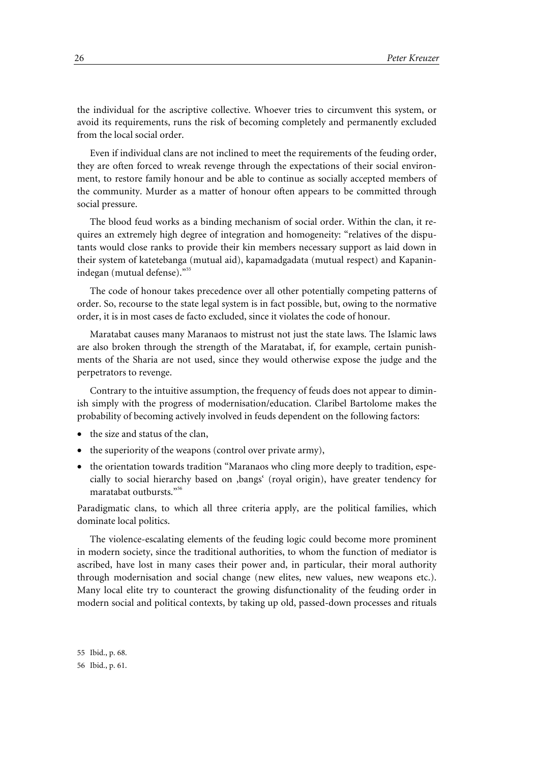the individual for the ascriptive collective. Whoever tries to circumvent this system, or avoid its requirements, runs the risk of becoming completely and permanently excluded from the local social order.

Even if individual clans are not inclined to meet the requirements of the feuding order, they are often forced to wreak revenge through the expectations of their social environment, to restore family honour and be able to continue as socially accepted members of the community. Murder as a matter of honour often appears to be committed through social pressure.

The blood feud works as a binding mechanism of social order. Within the clan, it requires an extremely high degree of integration and homogeneity: "relatives of the disputants would close ranks to provide their kin members necessary support as laid down in their system of katetebanga (mutual aid), kapamadgadata (mutual respect) and Kapaninindegan (mutual defense)."<sup>55</sup>

The code of honour takes precedence over all other potentially competing patterns of order. So, recourse to the state legal system is in fact possible, but, owing to the normative order, it is in most cases de facto excluded, since it violates the code of honour.

Maratabat causes many Maranaos to mistrust not just the state laws. The Islamic laws are also broken through the strength of the Maratabat, if, for example, certain punishments of the Sharia are not used, since they would otherwise expose the judge and the perpetrators to revenge.

Contrary to the intuitive assumption, the frequency of feuds does not appear to diminish simply with the progress of modernisation/education. Claribel Bartolome makes the probability of becoming actively involved in feuds dependent on the following factors:

- the size and status of the clan,
- the superiority of the weapons (control over private army),
- the orientation towards tradition "Maranaos who cling more deeply to tradition, especially to social hierarchy based on 'bangs' (royal origin), have greater tendency for maratabat outbursts."<sup>56</sup>

Paradigmatic clans, to which all three criteria apply, are the political families, which dominate local politics.

The violence-escalating elements of the feuding logic could become more prominent in modern society, since the traditional authorities, to whom the function of mediator is ascribed, have lost in many cases their power and, in particular, their moral authority through modernisation and social change (new elites, new values, new weapons etc.). Many local elite try to counteract the growing disfunctionality of the feuding order in modern social and political contexts, by taking up old, passed-down processes and rituals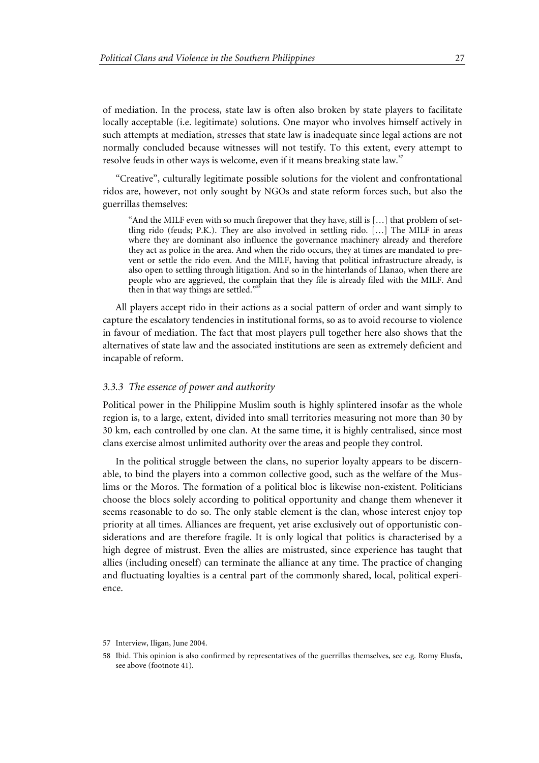of mediation. In the process, state law is often also broken by state players to facilitate locally acceptable (i.e. legitimate) solutions. One mayor who involves himself actively in such attempts at mediation, stresses that state law is inadequate since legal actions are not normally concluded because witnesses will not testify. To this extent, every attempt to resolve feuds in other ways is welcome, even if it means breaking state law.<sup>57</sup>

"Creative", culturally legitimate possible solutions for the violent and confrontational ridos are, however, not only sought by NGOs and state reform forces such, but also the guerrillas themselves:

"And the MILF even with so much firepower that they have, still is  $[\ldots]$  that problem of settling rido (feuds; P.K.). They are also involved in settling rido. […] The MILF in areas where they are dominant also influence the governance machinery already and therefore they act as police in the area. And when the rido occurs, they at times are mandated to prevent or settle the rido even. And the MILF, having that political infrastructure already, is also open to settling through litigation. And so in the hinterlands of Llanao, when there are people who are aggrieved, the complain that they file is already filed with the MILF. And then in that way things are settled."

All players accept rido in their actions as a social pattern of order and want simply to capture the escalatory tendencies in institutional forms, so as to avoid recourse to violence in favour of mediation. The fact that most players pull together here also shows that the alternatives of state law and the associated institutions are seen as extremely deficient and incapable of reform.

#### *3.3.3 The essence of power and authority*

Political power in the Philippine Muslim south is highly splintered insofar as the whole region is, to a large, extent, divided into small territories measuring not more than 30 by 30 km, each controlled by one clan. At the same time, it is highly centralised, since most clans exercise almost unlimited authority over the areas and people they control.

In the political struggle between the clans, no superior loyalty appears to be discernable, to bind the players into a common collective good, such as the welfare of the Muslims or the Moros. The formation of a political bloc is likewise non-existent. Politicians choose the blocs solely according to political opportunity and change them whenever it seems reasonable to do so. The only stable element is the clan, whose interest enjoy top priority at all times. Alliances are frequent, yet arise exclusively out of opportunistic considerations and are therefore fragile. It is only logical that politics is characterised by a high degree of mistrust. Even the allies are mistrusted, since experience has taught that allies (including oneself) can terminate the alliance at any time. The practice of changing and fluctuating loyalties is a central part of the commonly shared, local, political experience.

<sup>57</sup> Interview, Iligan, June 2004.

<sup>58</sup> Ibid. This opinion is also confirmed by representatives of the guerrillas themselves, see e.g. Romy Elusfa, see above (footnote 41).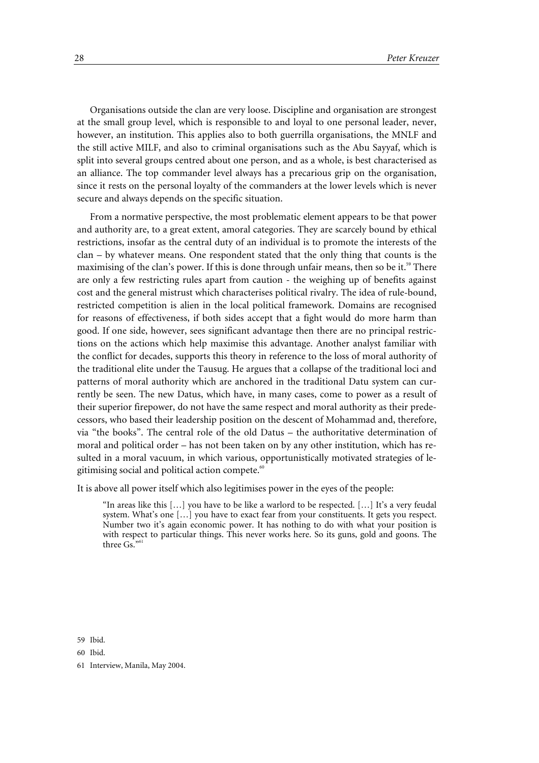Organisations outside the clan are very loose. Discipline and organisation are strongest at the small group level, which is responsible to and loyal to one personal leader, never, however, an institution. This applies also to both guerrilla organisations, the MNLF and the still active MILF, and also to criminal organisations such as the Abu Sayyaf, which is split into several groups centred about one person, and as a whole, is best characterised as an alliance. The top commander level always has a precarious grip on the organisation, since it rests on the personal loyalty of the commanders at the lower levels which is never secure and always depends on the specific situation.

From a normative perspective, the most problematic element appears to be that power and authority are, to a great extent, amoral categories. They are scarcely bound by ethical restrictions, insofar as the central duty of an individual is to promote the interests of the clan – by whatever means. One respondent stated that the only thing that counts is the maximising of the clan's power. If this is done through unfair means, then so be it.<sup>59</sup> There are only a few restricting rules apart from caution - the weighing up of benefits against cost and the general mistrust which characterises political rivalry. The idea of rule-bound, restricted competition is alien in the local political framework. Domains are recognised for reasons of effectiveness, if both sides accept that a fight would do more harm than good. If one side, however, sees significant advantage then there are no principal restrictions on the actions which help maximise this advantage. Another analyst familiar with the conflict for decades, supports this theory in reference to the loss of moral authority of the traditional elite under the Tausug. He argues that a collapse of the traditional loci and patterns of moral authority which are anchored in the traditional Datu system can currently be seen. The new Datus, which have, in many cases, come to power as a result of their superior firepower, do not have the same respect and moral authority as their predecessors, who based their leadership position on the descent of Mohammad and, therefore, via "the books". The central role of the old Datus – the authoritative determination of moral and political order – has not been taken on by any other institution, which has resulted in a moral vacuum, in which various, opportunistically motivated strategies of legitimising social and political action compete.<sup>60</sup>

It is above all power itself which also legitimises power in the eyes of the people:

"In areas like this […] you have to be like a warlord to be respected. […] It's a very feudal system. What's one […] you have to exact fear from your constituents. It gets you respect. Number two it's again economic power. It has nothing to do with what your position is with respect to particular things. This never works here. So its guns, gold and goons. The three  $Gs$ ."

59 Ibid.

60 Ibid.

61 Interview, Manila, May 2004.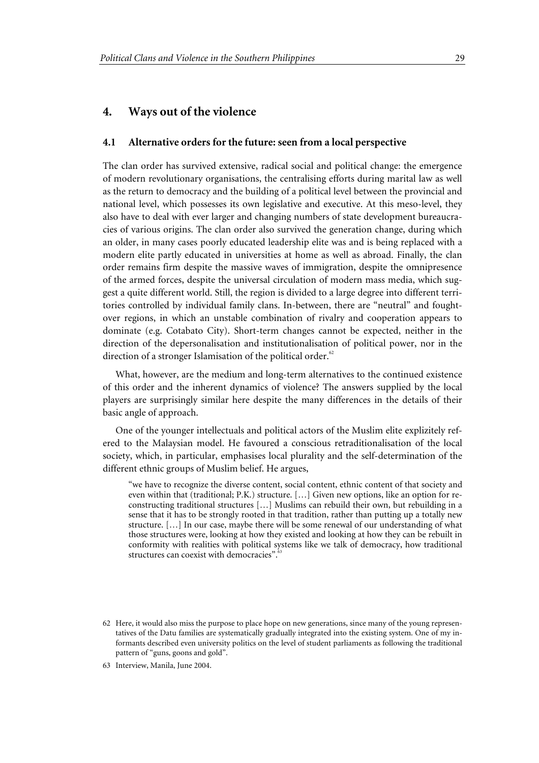#### **4. Ways out of the violence**

#### **4.1 Alternative orders for the future: seen from a local perspective**

The clan order has survived extensive, radical social and political change: the emergence of modern revolutionary organisations, the centralising efforts during marital law as well as the return to democracy and the building of a political level between the provincial and national level, which possesses its own legislative and executive. At this meso-level, they also have to deal with ever larger and changing numbers of state development bureaucracies of various origins. The clan order also survived the generation change, during which an older, in many cases poorly educated leadership elite was and is being replaced with a modern elite partly educated in universities at home as well as abroad. Finally, the clan order remains firm despite the massive waves of immigration, despite the omnipresence of the armed forces, despite the universal circulation of modern mass media, which suggest a quite different world. Still, the region is divided to a large degree into different territories controlled by individual family clans. In-between, there are "neutral" and foughtover regions, in which an unstable combination of rivalry and cooperation appears to dominate (e.g. Cotabato City). Short-term changes cannot be expected, neither in the direction of the depersonalisation and institutionalisation of political power, nor in the direction of a stronger Islamisation of the political order. $62$ 

What, however, are the medium and long-term alternatives to the continued existence of this order and the inherent dynamics of violence? The answers supplied by the local players are surprisingly similar here despite the many differences in the details of their basic angle of approach.

One of the younger intellectuals and political actors of the Muslim elite explizitely refered to the Malaysian model. He favoured a conscious retraditionalisation of the local society, which, in particular, emphasises local plurality and the self-determination of the different ethnic groups of Muslim belief. He argues,

"we have to recognize the diverse content, social content, ethnic content of that society and even within that (traditional; P.K.) structure. […] Given new options, like an option for reconstructing traditional structures […] Muslims can rebuild their own, but rebuilding in a sense that it has to be strongly rooted in that tradition, rather than putting up a totally new structure. […] In our case, maybe there will be some renewal of our understanding of what those structures were, looking at how they existed and looking at how they can be rebuilt in conformity with realities with political systems like we talk of democracy, how traditional structures can coexist with democracies".

<sup>62</sup> Here, it would also miss the purpose to place hope on new generations, since many of the young representatives of the Datu families are systematically gradually integrated into the existing system. One of my informants described even university politics on the level of student parliaments as following the traditional pattern of "guns, goons and gold".

<sup>63</sup> Interview, Manila, June 2004.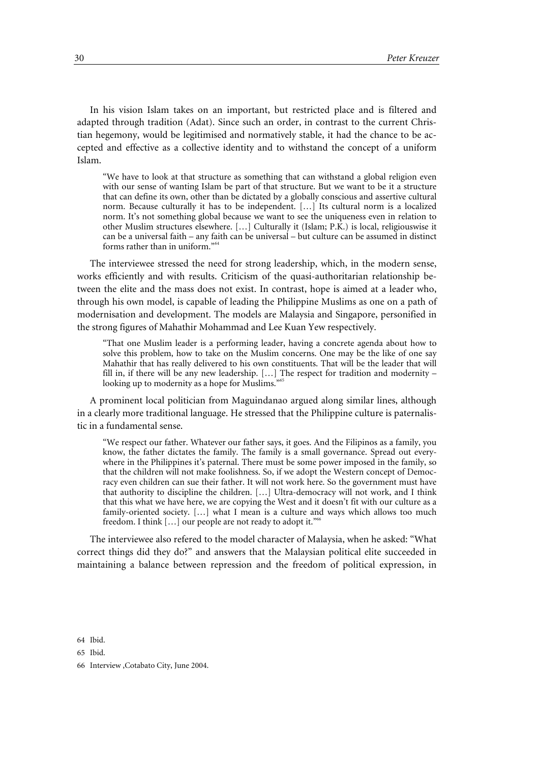In his vision Islam takes on an important, but restricted place and is filtered and adapted through tradition (Adat). Since such an order, in contrast to the current Christian hegemony, would be legitimised and normatively stable, it had the chance to be accepted and effective as a collective identity and to withstand the concept of a uniform Islam.

"We have to look at that structure as something that can withstand a global religion even with our sense of wanting Islam be part of that structure. But we want to be it a structure that can define its own, other than be dictated by a globally conscious and assertive cultural norm. Because culturally it has to be independent. […] Its cultural norm is a localized norm. It's not something global because we want to see the uniqueness even in relation to other Muslim structures elsewhere. […] Culturally it (Islam; P.K.) is local, religiouswise it can be a universal faith – any faith can be universal – but culture can be assumed in distinct forms rather than in uniform."<sup>64</sup>

The interviewee stressed the need for strong leadership, which, in the modern sense, works efficiently and with results. Criticism of the quasi-authoritarian relationship between the elite and the mass does not exist. In contrast, hope is aimed at a leader who, through his own model, is capable of leading the Philippine Muslims as one on a path of modernisation and development. The models are Malaysia and Singapore, personified in the strong figures of Mahathir Mohammad and Lee Kuan Yew respectively.

"That one Muslim leader is a performing leader, having a concrete agenda about how to solve this problem, how to take on the Muslim concerns. One may be the like of one say Mahathir that has really delivered to his own constituents. That will be the leader that will fill in, if there will be any new leadership.  $[...]$  The respect for tradition and modernity – looking up to modernity as a hope for Muslims."

A prominent local politician from Maguindanao argued along similar lines, although in a clearly more traditional language. He stressed that the Philippine culture is paternalistic in a fundamental sense.

"We respect our father. Whatever our father says, it goes. And the Filipinos as a family, you know, the father dictates the family. The family is a small governance. Spread out everywhere in the Philippines it's paternal. There must be some power imposed in the family, so that the children will not make foolishness. So, if we adopt the Western concept of Democracy even children can sue their father. It will not work here. So the government must have that authority to discipline the children. […] Ultra-democracy will not work, and I think that this what we have here, we are copying the West and it doesn't fit with our culture as a family-oriented society. […] what I mean is a culture and ways which allows too much freedom. I think [...] our people are not ready to adopt it."<sup>66</sup>

The interviewee also refered to the model character of Malaysia, when he asked: "What correct things did they do?" and answers that the Malaysian political elite succeeded in maintaining a balance between repression and the freedom of political expression, in

64 Ibid.

65 Ibid.

66 Interview ,Cotabato City, June 2004.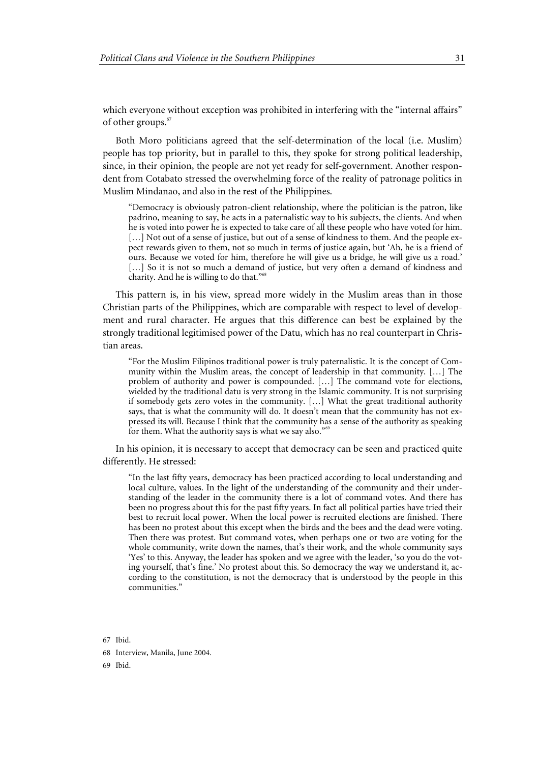which everyone without exception was prohibited in interfering with the "internal affairs" of other groups.<sup>67</sup>

Both Moro politicians agreed that the self-determination of the local (i.e. Muslim) people has top priority, but in parallel to this, they spoke for strong political leadership, since, in their opinion, the people are not yet ready for self-government. Another respondent from Cotabato stressed the overwhelming force of the reality of patronage politics in Muslim Mindanao, and also in the rest of the Philippines.

"Democracy is obviously patron-client relationship, where the politician is the patron, like padrino, meaning to say, he acts in a paternalistic way to his subjects, the clients. And when he is voted into power he is expected to take care of all these people who have voted for him. [...] Not out of a sense of justice, but out of a sense of kindness to them. And the people expect rewards given to them, not so much in terms of justice again, but 'Ah, he is a friend of ours. Because we voted for him, therefore he will give us a bridge, he will give us a road.' [...] So it is not so much a demand of justice, but very often a demand of kindness and charity. And he is willing to do that."<sup>68</sup>

This pattern is, in his view, spread more widely in the Muslim areas than in those Christian parts of the Philippines, which are comparable with respect to level of development and rural character. He argues that this difference can best be explained by the strongly traditional legitimised power of the Datu, which has no real counterpart in Christian areas.

"For the Muslim Filipinos traditional power is truly paternalistic. It is the concept of Community within the Muslim areas, the concept of leadership in that community. […] The problem of authority and power is compounded. […] The command vote for elections, wielded by the traditional datu is very strong in the Islamic community. It is not surprising if somebody gets zero votes in the community. […] What the great traditional authority says, that is what the community will do. It doesn't mean that the community has not expressed its will. Because I think that the community has a sense of the authority as speaking for them. What the authority says is what we say also."<sup>6</sup>

In his opinion, it is necessary to accept that democracy can be seen and practiced quite differently. He stressed:

"In the last fifty years, democracy has been practiced according to local understanding and local culture, values. In the light of the understanding of the community and their understanding of the leader in the community there is a lot of command votes. And there has been no progress about this for the past fifty years. In fact all political parties have tried their best to recruit local power. When the local power is recruited elections are finished. There has been no protest about this except when the birds and the bees and the dead were voting. Then there was protest. But command votes, when perhaps one or two are voting for the whole community, write down the names, that's their work, and the whole community says 'Yes' to this. Anyway, the leader has spoken and we agree with the leader, 'so you do the voting yourself, that's fine.' No protest about this. So democracy the way we understand it, according to the constitution, is not the democracy that is understood by the people in this communities."

67 Ibid.

68 Interview, Manila, June 2004.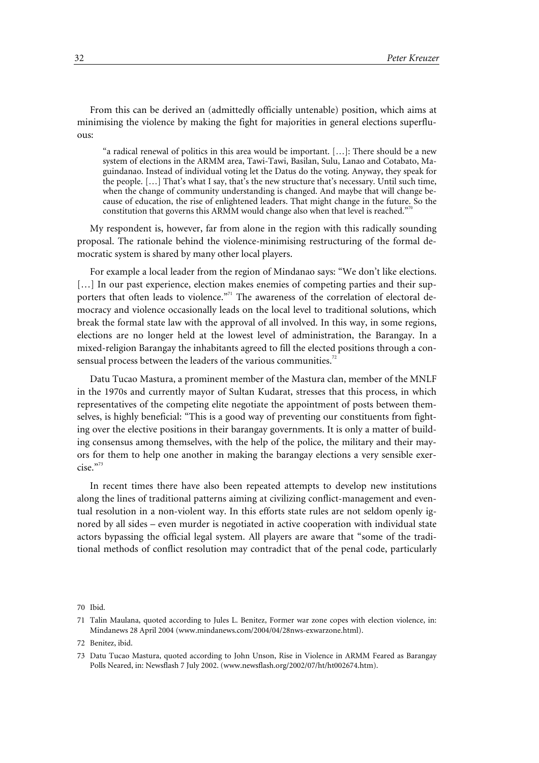From this can be derived an (admittedly officially untenable) position, which aims at minimising the violence by making the fight for majorities in general elections superfluous:

"a radical renewal of politics in this area would be important. […]: There should be a new system of elections in the ARMM area, Tawi-Tawi, Basilan, Sulu, Lanao and Cotabato, Maguindanao. Instead of individual voting let the Datus do the voting. Anyway, they speak for the people. […] That's what I say, that's the new structure that's necessary. Until such time, when the change of community understanding is changed. And maybe that will change because of education, the rise of enlightened leaders. That might change in the future. So the constitution that governs this ARMM would change also when that level is reached."70

My respondent is, however, far from alone in the region with this radically sounding proposal. The rationale behind the violence-minimising restructuring of the formal democratic system is shared by many other local players.

For example a local leader from the region of Mindanao says: "We don't like elections. [...] In our past experience, election makes enemies of competing parties and their supporters that often leads to violence."<sup>71</sup> The awareness of the correlation of electoral democracy and violence occasionally leads on the local level to traditional solutions, which break the formal state law with the approval of all involved. In this way, in some regions, elections are no longer held at the lowest level of administration, the Barangay. In a mixed-religion Barangay the inhabitants agreed to fill the elected positions through a consensual process between the leaders of the various communities.<sup>72</sup>

Datu Tucao Mastura, a prominent member of the Mastura clan, member of the MNLF in the 1970s and currently mayor of Sultan Kudarat, stresses that this process, in which representatives of the competing elite negotiate the appointment of posts between themselves, is highly beneficial: "This is a good way of preventing our constituents from fighting over the elective positions in their barangay governments. It is only a matter of building consensus among themselves, with the help of the police, the military and their mayors for them to help one another in making the barangay elections a very sensible exercise."<sup>73</sup>

In recent times there have also been repeated attempts to develop new institutions along the lines of traditional patterns aiming at civilizing conflict-management and eventual resolution in a non-violent way. In this efforts state rules are not seldom openly ignored by all sides – even murder is negotiated in active cooperation with individual state actors bypassing the official legal system. All players are aware that "some of the traditional methods of conflict resolution may contradict that of the penal code, particularly

<sup>71</sup> Talin Maulana, quoted according to Jules L. Benitez, Former war zone copes with election violence, in: Mindanews 28 April 2004 (www.mindanews.com/2004/04/28nws-exwarzone.html).

<sup>72</sup> Benitez, ibid.

<sup>73</sup> Datu Tucao Mastura, quoted according to John Unson, Rise in Violence in ARMM Feared as Barangay Polls Neared, in: Newsflash 7 July 2002. (www.newsflash.org/2002/07/ht/ht002674.htm).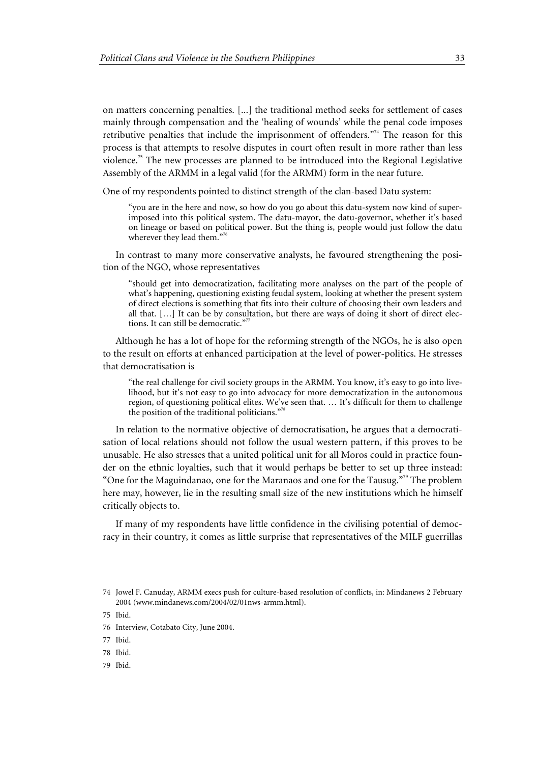on matters concerning penalties. [...] the traditional method seeks for settlement of cases mainly through compensation and the 'healing of wounds' while the penal code imposes retributive penalties that include the imprisonment of offenders."<sup>74</sup> The reason for this process is that attempts to resolve disputes in court often result in more rather than less violence.<sup>75</sup> The new processes are planned to be introduced into the Regional Legislative Assembly of the ARMM in a legal valid (for the ARMM) form in the near future.

One of my respondents pointed to distinct strength of the clan-based Datu system:

"you are in the here and now, so how do you go about this datu-system now kind of superimposed into this political system. The datu-mayor, the datu-governor, whether it's based on lineage or based on political power. But the thing is, people would just follow the datu wherever they lead them."76

In contrast to many more conservative analysts, he favoured strengthening the position of the NGO, whose representatives

"should get into democratization, facilitating more analyses on the part of the people of what's happening, questioning existing feudal system, looking at whether the present system of direct elections is something that fits into their culture of choosing their own leaders and all that. […] It can be by consultation, but there are ways of doing it short of direct elections. It can still be democratic."<sup>7</sup>

Although he has a lot of hope for the reforming strength of the NGOs, he is also open to the result on efforts at enhanced participation at the level of power-politics. He stresses that democratisation is

"the real challenge for civil society groups in the ARMM. You know, it's easy to go into livelihood, but it's not easy to go into advocacy for more democratization in the autonomous region, of questioning political elites. We've seen that. … It's difficult for them to challenge the position of the traditional politicians."

In relation to the normative objective of democratisation, he argues that a democratisation of local relations should not follow the usual western pattern, if this proves to be unusable. He also stresses that a united political unit for all Moros could in practice founder on the ethnic loyalties, such that it would perhaps be better to set up three instead: "One for the Maguindanao, one for the Maranaos and one for the Tausug."<sup>79</sup> The problem here may, however, lie in the resulting small size of the new institutions which he himself critically objects to.

If many of my respondents have little confidence in the civilising potential of democracy in their country, it comes as little surprise that representatives of the MILF guerrillas

<sup>74</sup> Jowel F. Canuday, ARMM execs push for culture-based resolution of conflicts, in: Mindanews 2 February 2004 (www.mindanews.com/2004/02/01nws-armm.html).

<sup>75</sup> Ibid.

<sup>76</sup> Interview, Cotabato City, June 2004.

<sup>77</sup> Ibid.

<sup>78</sup> Ibid.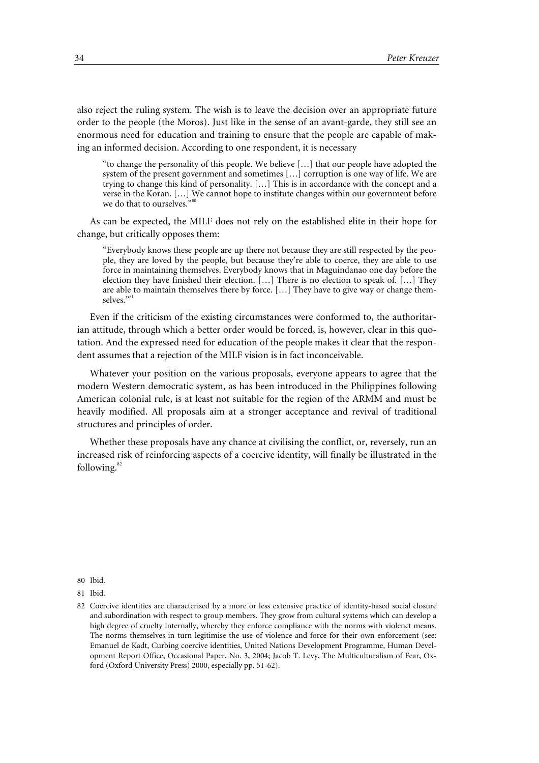also reject the ruling system. The wish is to leave the decision over an appropriate future order to the people (the Moros). Just like in the sense of an avant-garde, they still see an enormous need for education and training to ensure that the people are capable of making an informed decision. According to one respondent, it is necessary

"to change the personality of this people. We believe […] that our people have adopted the system of the present government and sometimes […] corruption is one way of life. We are trying to change this kind of personality. […] This is in accordance with the concept and a verse in the Koran. […] We cannot hope to institute changes within our government before we do that to ourselves."

As can be expected, the MILF does not rely on the established elite in their hope for change, but critically opposes them:

"Everybody knows these people are up there not because they are still respected by the people, they are loved by the people, but because they're able to coerce, they are able to use force in maintaining themselves. Everybody knows that in Maguindanao one day before the election they have finished their election. […] There is no election to speak of. […] They are able to maintain themselves there by force. […] They have to give way or change themselves."<sup>8</sup>

Even if the criticism of the existing circumstances were conformed to, the authoritarian attitude, through which a better order would be forced, is, however, clear in this quotation. And the expressed need for education of the people makes it clear that the respondent assumes that a rejection of the MILF vision is in fact inconceivable.

Whatever your position on the various proposals, everyone appears to agree that the modern Western democratic system, as has been introduced in the Philippines following American colonial rule, is at least not suitable for the region of the ARMM and must be heavily modified. All proposals aim at a stronger acceptance and revival of traditional structures and principles of order.

Whether these proposals have any chance at civilising the conflict, or, reversely, run an increased risk of reinforcing aspects of a coercive identity, will finally be illustrated in the following.<sup>82</sup>

<sup>81</sup> Ibid.

<sup>82</sup> Coercive identities are characterised by a more or less extensive practice of identity-based social closure and subordination with respect to group members. They grow from cultural systems which can develop a high degree of cruelty internally, whereby they enforce compliance with the norms with violenct means. The norms themselves in turn legitimise the use of violence and force for their own enforcement (see: Emanuel de Kadt, Curbing coercive identities, United Nations Development Programme, Human Development Report Office, Occasional Paper, No. 3, 2004; Jacob T. Levy, The Multiculturalism of Fear, Oxford (Oxford University Press) 2000, especially pp. 51-62).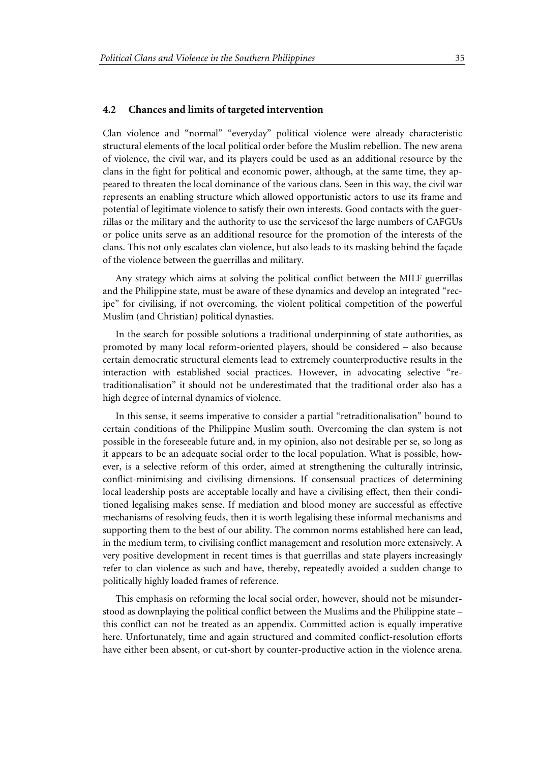#### **4.2 Chances and limits of targeted intervention**

Clan violence and "normal" "everyday" political violence were already characteristic structural elements of the local political order before the Muslim rebellion. The new arena of violence, the civil war, and its players could be used as an additional resource by the clans in the fight for political and economic power, although, at the same time, they appeared to threaten the local dominance of the various clans. Seen in this way, the civil war represents an enabling structure which allowed opportunistic actors to use its frame and potential of legitimate violence to satisfy their own interests. Good contacts with the guerrillas or the military and the authority to use the servicesof the large numbers of CAFGUs or police units serve as an additional resource for the promotion of the interests of the clans. This not only escalates clan violence, but also leads to its masking behind the façade of the violence between the guerrillas and military.

Any strategy which aims at solving the political conflict between the MILF guerrillas and the Philippine state, must be aware of these dynamics and develop an integrated "recipe" for civilising, if not overcoming, the violent political competition of the powerful Muslim (and Christian) political dynasties.

In the search for possible solutions a traditional underpinning of state authorities, as promoted by many local reform-oriented players, should be considered – also because certain democratic structural elements lead to extremely counterproductive results in the interaction with established social practices. However, in advocating selective "retraditionalisation" it should not be underestimated that the traditional order also has a high degree of internal dynamics of violence.

In this sense, it seems imperative to consider a partial "retraditionalisation" bound to certain conditions of the Philippine Muslim south. Overcoming the clan system is not possible in the foreseeable future and, in my opinion, also not desirable per se, so long as it appears to be an adequate social order to the local population. What is possible, however, is a selective reform of this order, aimed at strengthening the culturally intrinsic, conflict-minimising and civilising dimensions. If consensual practices of determining local leadership posts are acceptable locally and have a civilising effect, then their conditioned legalising makes sense. If mediation and blood money are successful as effective mechanisms of resolving feuds, then it is worth legalising these informal mechanisms and supporting them to the best of our ability. The common norms established here can lead, in the medium term, to civilising conflict management and resolution more extensively. A very positive development in recent times is that guerrillas and state players increasingly refer to clan violence as such and have, thereby, repeatedly avoided a sudden change to politically highly loaded frames of reference.

This emphasis on reforming the local social order, however, should not be misunderstood as downplaying the political conflict between the Muslims and the Philippine state – this conflict can not be treated as an appendix. Committed action is equally imperative here. Unfortunately, time and again structured and commited conflict-resolution efforts have either been absent, or cut-short by counter-productive action in the violence arena.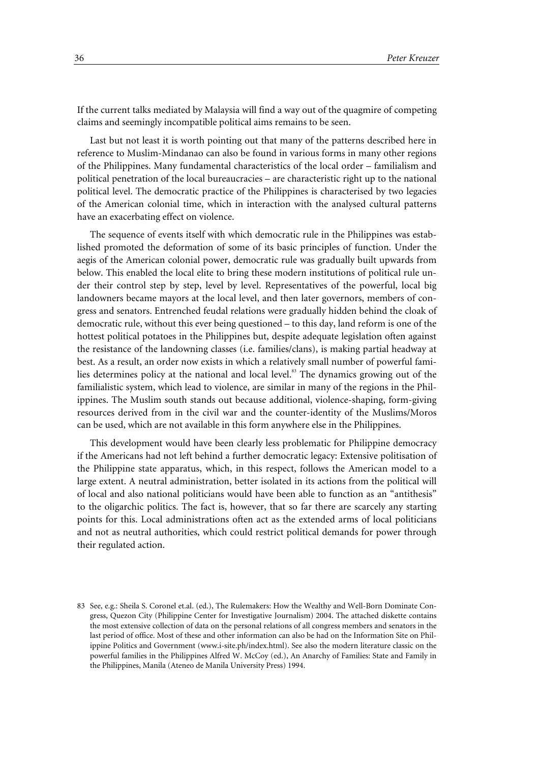If the current talks mediated by Malaysia will find a way out of the quagmire of competing claims and seemingly incompatible political aims remains to be seen.

Last but not least it is worth pointing out that many of the patterns described here in reference to Muslim-Mindanao can also be found in various forms in many other regions of the Philippines. Many fundamental characteristics of the local order – familialism and political penetration of the local bureaucracies – are characteristic right up to the national political level. The democratic practice of the Philippines is characterised by two legacies of the American colonial time, which in interaction with the analysed cultural patterns have an exacerbating effect on violence.

The sequence of events itself with which democratic rule in the Philippines was established promoted the deformation of some of its basic principles of function. Under the aegis of the American colonial power, democratic rule was gradually built upwards from below. This enabled the local elite to bring these modern institutions of political rule under their control step by step, level by level. Representatives of the powerful, local big landowners became mayors at the local level, and then later governors, members of congress and senators. Entrenched feudal relations were gradually hidden behind the cloak of democratic rule, without this ever being questioned – to this day, land reform is one of the hottest political potatoes in the Philippines but, despite adequate legislation often against the resistance of the landowning classes (i.e. families/clans), is making partial headway at best. As a result, an order now exists in which a relatively small number of powerful families determines policy at the national and local level.<sup>83</sup> The dynamics growing out of the familialistic system, which lead to violence, are similar in many of the regions in the Philippines. The Muslim south stands out because additional, violence-shaping, form-giving resources derived from in the civil war and the counter-identity of the Muslims/Moros can be used, which are not available in this form anywhere else in the Philippines.

This development would have been clearly less problematic for Philippine democracy if the Americans had not left behind a further democratic legacy: Extensive politisation of the Philippine state apparatus, which, in this respect, follows the American model to a large extent. A neutral administration, better isolated in its actions from the political will of local and also national politicians would have been able to function as an "antithesis" to the oligarchic politics. The fact is, however, that so far there are scarcely any starting points for this. Local administrations often act as the extended arms of local politicians and not as neutral authorities, which could restrict political demands for power through their regulated action.

<sup>83</sup> See, e.g.: Sheila S. Coronel et.al. (ed.), The Rulemakers: How the Wealthy and Well-Born Dominate Congress, Quezon City (Philippine Center for Investigative Journalism) 2004. The attached diskette contains the most extensive collection of data on the personal relations of all congress members and senators in the last period of office. Most of these and other information can also be had on the Information Site on Philippine Politics and Government (www.i-site.ph/index.html). See also the modern literature classic on the powerful families in the Philippines Alfred W. McCoy (ed.), An Anarchy of Families: State and Family in the Philippines, Manila (Ateneo de Manila University Press) 1994.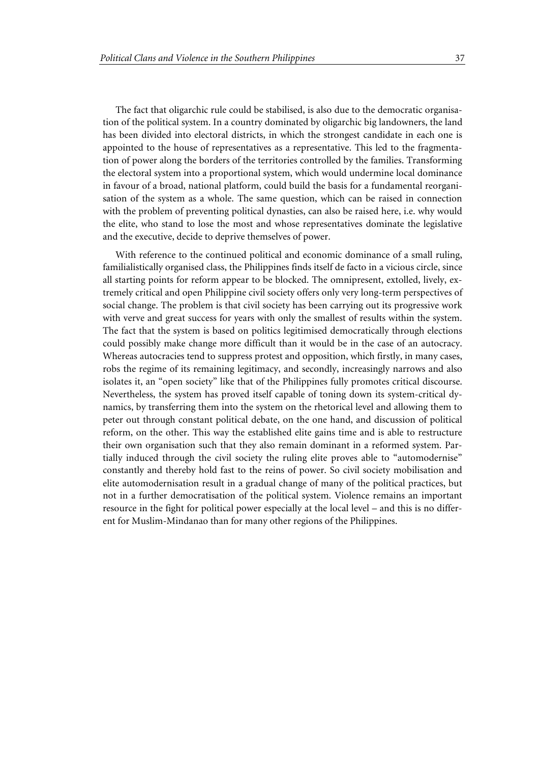The fact that oligarchic rule could be stabilised, is also due to the democratic organisation of the political system. In a country dominated by oligarchic big landowners, the land has been divided into electoral districts, in which the strongest candidate in each one is appointed to the house of representatives as a representative. This led to the fragmentation of power along the borders of the territories controlled by the families. Transforming the electoral system into a proportional system, which would undermine local dominance in favour of a broad, national platform, could build the basis for a fundamental reorganisation of the system as a whole. The same question, which can be raised in connection with the problem of preventing political dynasties, can also be raised here, i.e. why would the elite, who stand to lose the most and whose representatives dominate the legislative and the executive, decide to deprive themselves of power.

With reference to the continued political and economic dominance of a small ruling, familialistically organised class, the Philippines finds itself de facto in a vicious circle, since all starting points for reform appear to be blocked. The omnipresent, extolled, lively, extremely critical and open Philippine civil society offers only very long-term perspectives of social change. The problem is that civil society has been carrying out its progressive work with verve and great success for years with only the smallest of results within the system. The fact that the system is based on politics legitimised democratically through elections could possibly make change more difficult than it would be in the case of an autocracy. Whereas autocracies tend to suppress protest and opposition, which firstly, in many cases, robs the regime of its remaining legitimacy, and secondly, increasingly narrows and also isolates it, an "open society" like that of the Philippines fully promotes critical discourse. Nevertheless, the system has proved itself capable of toning down its system-critical dynamics, by transferring them into the system on the rhetorical level and allowing them to peter out through constant political debate, on the one hand, and discussion of political reform, on the other. This way the established elite gains time and is able to restructure their own organisation such that they also remain dominant in a reformed system. Partially induced through the civil society the ruling elite proves able to "automodernise" constantly and thereby hold fast to the reins of power. So civil society mobilisation and elite automodernisation result in a gradual change of many of the political practices, but not in a further democratisation of the political system. Violence remains an important resource in the fight for political power especially at the local level – and this is no different for Muslim-Mindanao than for many other regions of the Philippines.